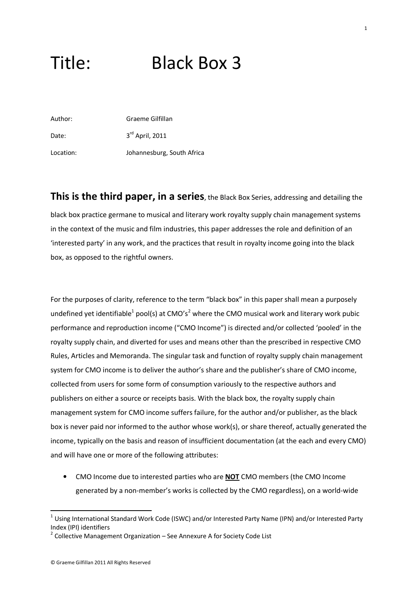# Title: Black Box 3

Author: Graeme Gilfillan Date: 3rd April, 2011 Location: Johannesburg, South Africa

**This is the third paper, in a series**, the Black Box Series, addressing and detailing the black box practice germane to musical and literary work royalty supply chain management systems in the context of the music and film industries, this paper addresses the role and definition of an 'interested party' in any work, and the practices that result in royalty income going into the black box, as opposed to the rightful owners.

For the purposes of clarity, reference to the term "black box" in this paper shall mean a purposely undefined yet identifiable<sup>1</sup> pool(s) at CMO's<sup>2</sup> where the CMO musical work and literary work pubic performance and reproduction income ("CMO Income") is directed and/or collected 'pooled' in the royalty supply chain, and diverted for uses and means other than the prescribed in respective CMO Rules, Articles and Memoranda. The singular task and function of royalty supply chain management system for CMO income is to deliver the author's share and the publisher's share of CMO income, collected from users for some form of consumption variously to the respective authors and publishers on either a source or receipts basis. With the black box, the royalty supply chain management system for CMO income suffers failure, for the author and/or publisher, as the black box is never paid nor informed to the author whose work(s), or share thereof, actually generated the income, typically on the basis and reason of insufficient documentation (at the each and every CMO) and will have one or more of the following attributes:

• CMO Income due to interested parties who are **NOT** CMO members (the CMO Income generated by a non-member's works is collected by the CMO regardless), on a world-wide

<sup>&</sup>lt;sup>1</sup> Using International Standard Work Code (ISWC) and/or Interested Party Name (IPN) and/or Interested Party Index (IPI) identifiers

 $2$  Collective Management Organization – See Annexure A for Society Code List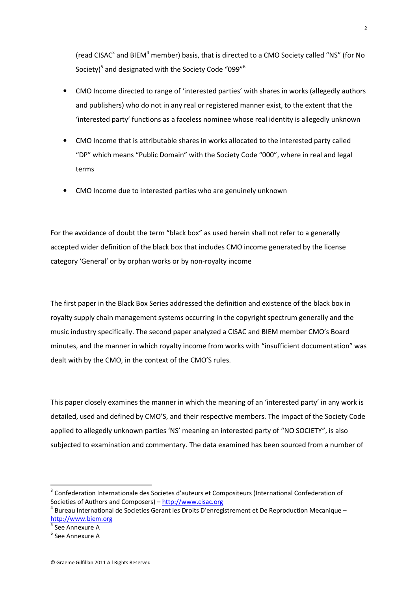(read CISAC<sup>3</sup> and BIEM<sup>4</sup> member) basis, that is directed to a CMO Society called "NS" (for No Society)<sup>5</sup> and designated with the Society Code "099"<sup>6</sup>

- CMO Income directed to range of 'interested parties' with shares in works (allegedly authors and publishers) who do not in any real or registered manner exist, to the extent that the 'interested party' functions as a faceless nominee whose real identity is allegedly unknown
- CMO Income that is attributable shares in works allocated to the interested party called "DP" which means "Public Domain" with the Society Code "000", where in real and legal terms
- CMO Income due to interested parties who are genuinely unknown

For the avoidance of doubt the term "black box" as used herein shall not refer to a generally accepted wider definition of the black box that includes CMO income generated by the license category 'General' or by orphan works or by non-royalty income

The first paper in the Black Box Series addressed the definition and existence of the black box in royalty supply chain management systems occurring in the copyright spectrum generally and the music industry specifically. The second paper analyzed a CISAC and BIEM member CMO's Board minutes, and the manner in which royalty income from works with "insufficient documentation" was dealt with by the CMO, in the context of the CMO'S rules.

This paper closely examines the manner in which the meaning of an 'interested party' in any work is detailed, used and defined by CMO'S, and their respective members. The impact of the Society Code applied to allegedly unknown parties 'NS' meaning an interested party of "NO SOCIETY", is also subjected to examination and commentary. The data examined has been sourced from a number of

 $\overline{a}$ 

<sup>&</sup>lt;sup>3</sup> Confederation Internationale des Societes d'auteurs et Compositeurs (International Confederation of Societies of Authors and Composers) – http://www.cisac.org

<sup>4</sup> Bureau International de Societies Gerant les Droits D'enregistrement et De Reproduction Mecanique – http://www.biem.org

<sup>&</sup>lt;sup>5</sup> See Annexure A

<sup>6</sup> See Annexure A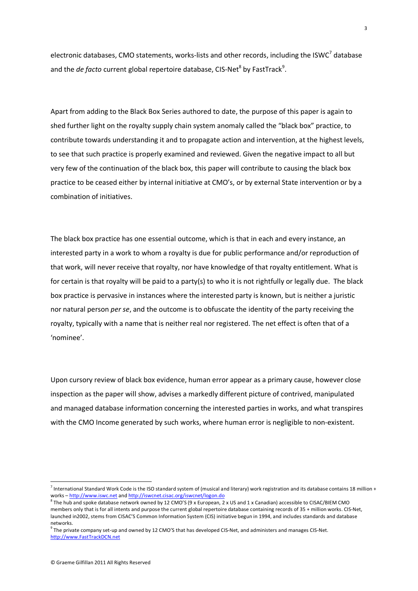electronic databases, CMO statements, works-lists and other records, including the ISWC<sup>7</sup> database and the *de facto* current global repertoire database, CIS-Net<sup>8</sup> by FastTrack<sup>9</sup>.

Apart from adding to the Black Box Series authored to date, the purpose of this paper is again to shed further light on the royalty supply chain system anomaly called the "black box" practice, to contribute towards understanding it and to propagate action and intervention, at the highest levels, to see that such practice is properly examined and reviewed. Given the negative impact to all but very few of the continuation of the black box, this paper will contribute to causing the black box practice to be ceased either by internal initiative at CMO's, or by external State intervention or by a combination of initiatives.

The black box practice has one essential outcome, which is that in each and every instance, an interested party in a work to whom a royalty is due for public performance and/or reproduction of that work, will never receive that royalty, nor have knowledge of that royalty entitlement. What is for certain is that royalty will be paid to a party(s) to who it is not rightfully or legally due. The black box practice is pervasive in instances where the interested party is known, but is neither a juristic nor natural person *per se*, and the outcome is to obfuscate the identity of the party receiving the royalty, typically with a name that is neither real nor registered. The net effect is often that of a 'nominee'.

Upon cursory review of black box evidence, human error appear as a primary cause, however close inspection as the paper will show, advises a markedly different picture of contrived, manipulated and managed database information concerning the interested parties in works, and what transpires with the CMO Income generated by such works, where human error is negligible to non-existent.

<u>.</u>

<sup>&</sup>lt;sup>7</sup> International Standard Work Code is the ISO standard system of (musical and literary) work registration and its database contains 18 million + works – http://www.iswc.net and http://iswcnet.cisac.org/iswcnet/logon.do

 $^8$  The hub and spoke database network owned by 12 CMO'S (9 x European, 2 x US and 1 x Canadian) accessible to CISAC/BIEM CMO members only that is for all intents and purpose the current global repertoire database containing records of 35 + million works. CIS-Net, launched in2002, stems from CISAC'S Common Information System (CIS) initiative begun in 1994, and includes standards and database networks.

<sup>&</sup>lt;sup>9</sup> The private company set-up and owned by 12 CMO'S that has developed CIS-Net, and administers and manages CIS-Net. http://www.FastTrackDCN.net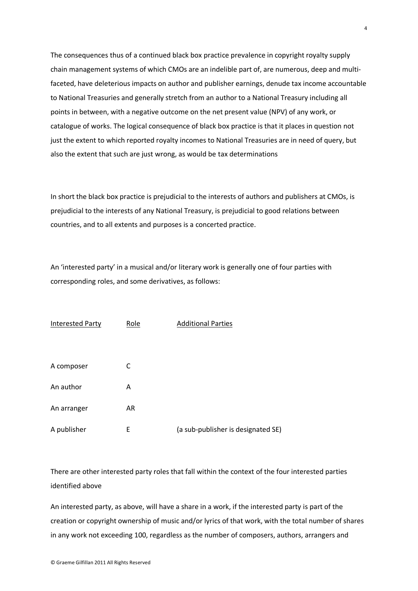The consequences thus of a continued black box practice prevalence in copyright royalty supply chain management systems of which CMOs are an indelible part of, are numerous, deep and multifaceted, have deleterious impacts on author and publisher earnings, denude tax income accountable to National Treasuries and generally stretch from an author to a National Treasury including all points in between, with a negative outcome on the net present value (NPV) of any work, or catalogue of works. The logical consequence of black box practice is that it places in question not just the extent to which reported royalty incomes to National Treasuries are in need of query, but also the extent that such are just wrong, as would be tax determinations

In short the black box practice is prejudicial to the interests of authors and publishers at CMOs, is prejudicial to the interests of any National Treasury, is prejudicial to good relations between countries, and to all extents and purposes is a concerted practice.

An 'interested party' in a musical and/or literary work is generally one of four parties with corresponding roles, and some derivatives, as follows:

| <b>Interested Party</b> | Role | <b>Additional Parties</b>          |
|-------------------------|------|------------------------------------|
|                         |      |                                    |
| A composer              | C    |                                    |
| An author               | A    |                                    |
| An arranger             | AR   |                                    |
| A publisher             | E    | (a sub-publisher is designated SE) |

There are other interested party roles that fall within the context of the four interested parties identified above

An interested party, as above, will have a share in a work, if the interested party is part of the creation or copyright ownership of music and/or lyrics of that work, with the total number of shares in any work not exceeding 100, regardless as the number of composers, authors, arrangers and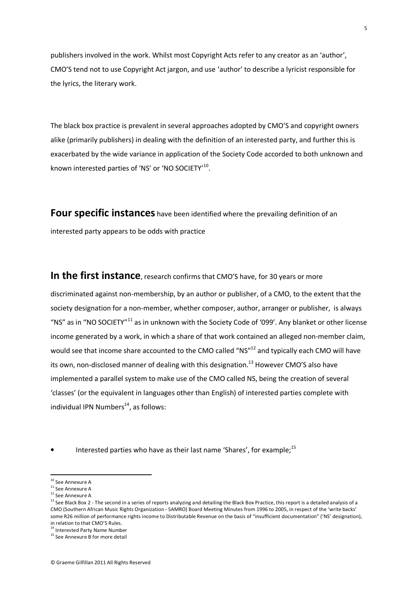publishers involved in the work. Whilst most Copyright Acts refer to any creator as an 'author', CMO'S tend not to use Copyright Act jargon, and use 'author' to describe a lyricist responsible for the lyrics, the literary work.

The black box practice is prevalent in several approaches adopted by CMO'S and copyright owners alike (primarily publishers) in dealing with the definition of an interested party, and further this is exacerbated by the wide variance in application of the Society Code accorded to both unknown and known interested parties of 'NS' or 'NO SOCIETY'<sup>10</sup>.

**Four specific instances** have been identified where the prevailing definition of an interested party appears to be odds with practice

**In the first instance**, research confirms that CMO'S have, for 30 years or more

discriminated against non-membership, by an author or publisher, of a CMO, to the extent that the society designation for a non-member, whether composer, author, arranger or publisher, is always "NS" as in "NO SOCIETY"<sup>11</sup> as in unknown with the Society Code of '099'. Any blanket or other license income generated by a work, in which a share of that work contained an alleged non-member claim, would see that income share accounted to the CMO called "NS"<sup>12</sup> and typically each CMO will have its own, non-disclosed manner of dealing with this designation.<sup>13</sup> However CMO'S also have implemented a parallel system to make use of the CMO called NS, being the creation of several 'classes' (or the equivalent in languages other than English) of interested parties complete with individual IPN Numbers $^{14}$ , as follows:

Interested parties who have as their last name 'Shares', for example; $^{15}$ 

<u>.</u>

<sup>&</sup>lt;sup>10</sup> See Annexure A

<sup>&</sup>lt;sup>11</sup> See Annexure A

 $^{12}$  See Annexure A

<sup>&</sup>lt;sup>13</sup> See Black Box 2 - The second in a series of reports analyzing and detailing the Black Box Practice, this report is a detailed analysis of a CMO (Southern African Music Rights Organization - SAMRO) Board Meeting Minutes from 1996 to 2005, in respect of the 'write backs' some R26 million of performance rights income to Distributable Revenue on the basis of "insufficient documentation" ('NS' designation), in relation to that CMO'S Rules.

<sup>&</sup>lt;sup>14</sup> Interested Party Name Number

<sup>&</sup>lt;sup>15</sup> See Annexure B for more detail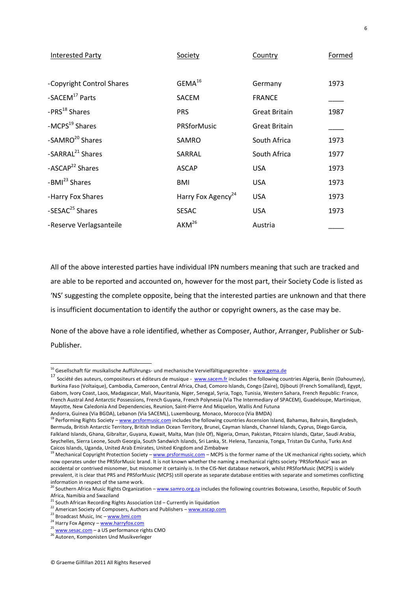| <b>Interested Party</b>      | Society                        | Country              | Formed |
|------------------------------|--------------------------------|----------------------|--------|
| -Copyright Control Shares    | $GEMA^{16}$                    | Germany              | 1973   |
| -SACEM <sup>17</sup> Parts   | SACEM                          | <b>FRANCE</b>        |        |
| -PRS <sup>18</sup> Shares    | <b>PRS</b>                     | <b>Great Britain</b> | 1987   |
| -MCPS <sup>19</sup> Shares   | <b>PRSforMusic</b>             | <b>Great Britain</b> |        |
| -SAMRO <sup>20</sup> Shares  | SAMRO                          | South Africa         | 1973   |
| -SARRAL <sup>21</sup> Shares | SARRAL                         | South Africa         | 1977   |
| -ASCAP <sup>22</sup> Shares  | <b>ASCAP</b>                   | USA.                 | 1973   |
| -BMI <sup>23</sup> Shares    | <b>BMI</b>                     | <b>USA</b>           | 1973   |
| -Harry Fox Shares            | Harry Fox Agency <sup>24</sup> | <b>USA</b>           | 1973   |
| -SESAC <sup>25</sup> Shares  | <b>SESAC</b>                   | <b>USA</b>           | 1973   |
| -Reserve Verlagsanteile      | AKM <sup>26</sup>              | Austria              |        |

All of the above interested parties have individual IPN numbers meaning that such are tracked and are able to be reported and accounted on, however for the most part, their Society Code is listed as 'NS' suggesting the complete opposite, being that the interested parties are unknown and that there is insufficient documentation to identify the author or copyright owners, as the case may be.

None of the above have a role identified, whether as Composer, Author, Arranger, Publisher or Sub-Publisher.

<u>.</u>

<sup>&</sup>lt;sup>16</sup> Gesellschaft für musikalische Aufführungs- und mechanische Vervielfältigungsrechte - www.gema.de

<sup>&</sup>lt;sup>17</sup> Société des auteurs, compositeurs et éditeurs de musique - www.sacem.fr includes the following countries Algeria, Benin (Dahoumey), Burkina Faso (Voltaique), Cambodia, Cameroon, Central Africa, Chad, Comoro Islands, Congo (Zaire), Djibouti (French Somaliland), Egypt, Gabom, Ivory Coast, Laos, Madagascar, Mali, Mauritania, Niger, Senegal, Syria, Togo, Tunisia, Western Sahara, French Republic: France, French Austral And Antarctic Possessions, French Guyana, French Polynesia (Via The Intermediary of SPACEM), Guadeloupe, Martinique, Mayotte, New Caledonia And Dependencies, Reunion, Saint-Pierre And Miquelon, Wallis And Futuna Andorra, Guinea (Via BGDA), Lebanon (Via SACEML), Luxembourg, Monaco, Morocco (Via BMDA)

<sup>&</sup>lt;sup>18</sup> Performing Rights Society – www.prsformusic.com includes the following countries Ascension Island, Bahamas, Bahrain, Bangladesh, Bermuda, British Antarctic Territory, British Indian Ocean Territory, Brunei, Cayman Islands, Channel Islands, Cyprus, Diego Garcia, Falkland Islands, Ghana, Gibraltar, Guyana, Kuwait, Malta, Man (Isle Of), Nigeria, Oman, Pakistan, Pitcairn Islands, Qatar, Saudi Arabia, Seychelles, Sierra Leone, South Georgia, South Sandwich Islands, Sri Lanka, St. Helena, Tanzania, Tonga, Tristan Da Cunha, Turks And

Caicos Islands, Uganda, United Arab Emirates, United Kingdom and Zimbabwe

<sup>&</sup>lt;sup>19</sup> Mechanical Copyright Protection Society – www.prsformusic.com</u> – MCPS is the former name of the UK mechanical rights society, which now operates under the PRSforMusic brand. It is not known whether the naming a mechanical rights society 'PRSforMusic' was an accidental or contrived misnomer, but misnomer it certainly is. In the CIS-Net database network, whilst PRSforMusic (MCPS) is widely prevalent, it is clear that PRS and PRSforMusic (MCPS) still operate as separate database entities with separate and sometimes conflicting information in respect of the same work.

 $^3$  Southern Africa Music Rights Organization – www.samro.org.za includes the following countries Botswana, Lesotho, Republic of South Africa, Namibia and Swaziland

 $21$  South African Recording Rights Association Ltd – Currently in liquidation

<sup>&</sup>lt;sup>22</sup> American Society of Composers, Authors and Publishers – www.ascap.com

<sup>&</sup>lt;sup>23</sup> Broadcast Music, Inc – www.bmi.com

<sup>&</sup>lt;sup>24</sup> Harry Fox Agency – www.harryfox.com

<sup>25</sup> www.sesac.com – a US performance rights CMO

<sup>&</sup>lt;sup>26</sup> Autoren, Komponisten Und Musikverleger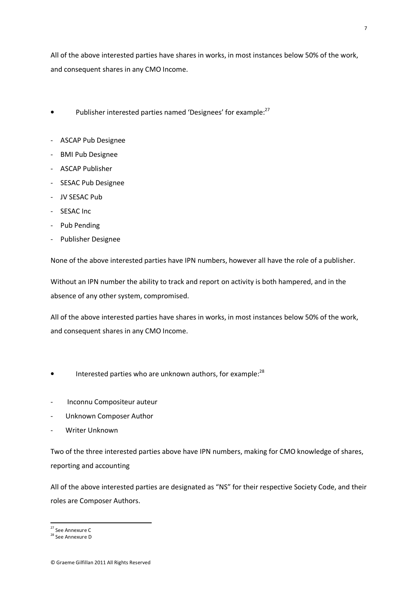All of the above interested parties have shares in works, in most instances below 50% of the work, and consequent shares in any CMO Income.

- Publisher interested parties named 'Designees' for example:<sup>27</sup>
- ASCAP Pub Designee
- BMI Pub Designee
- ASCAP Publisher
- SESAC Pub Designee
- JV SESAC Pub
- SESAC Inc
- Pub Pending
- Publisher Designee

None of the above interested parties have IPN numbers, however all have the role of a publisher.

Without an IPN number the ability to track and report on activity is both hampered, and in the absence of any other system, compromised.

All of the above interested parties have shares in works, in most instances below 50% of the work, and consequent shares in any CMO Income.

- Interested parties who are unknown authors, for example:<sup>28</sup>
- Inconnu Compositeur auteur
- Unknown Composer Author
- Writer Unknown

Two of the three interested parties above have IPN numbers, making for CMO knowledge of shares, reporting and accounting

All of the above interested parties are designated as "NS" for their respective Society Code, and their roles are Composer Authors.

<sup>&</sup>lt;sup>27</sup> See Annexure C

<sup>28</sup> See Annexure D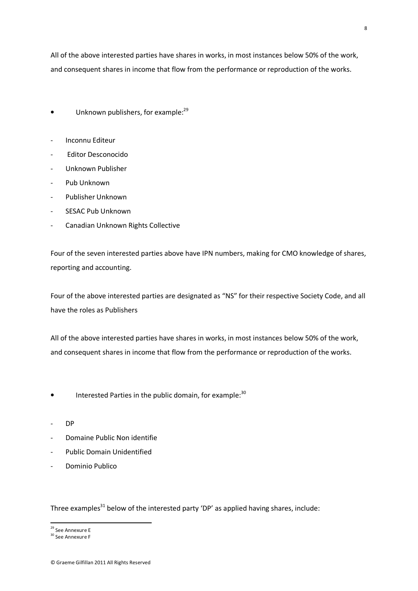All of the above interested parties have shares in works, in most instances below 50% of the work, and consequent shares in income that flow from the performance or reproduction of the works.

- Unknown publishers, for example:<sup>29</sup>
- Inconnu Editeur
- Editor Desconocido
- Unknown Publisher
- Pub Unknown
- Publisher Unknown
- SESAC Pub Unknown
- Canadian Unknown Rights Collective

Four of the seven interested parties above have IPN numbers, making for CMO knowledge of shares, reporting and accounting.

Four of the above interested parties are designated as "NS" for their respective Society Code, and all have the roles as Publishers

All of the above interested parties have shares in works, in most instances below 50% of the work, and consequent shares in income that flow from the performance or reproduction of the works.

- Interested Parties in the public domain, for example: $30$
- DP
- Domaine Public Non identifie
- Public Domain Unidentified
- Dominio Publico

Three examples<sup>31</sup> below of the interested party 'DP' as applied having shares, include:

<sup>&</sup>lt;sup>29</sup> See Annexure E

<sup>&</sup>lt;sup>30</sup> See Annexure F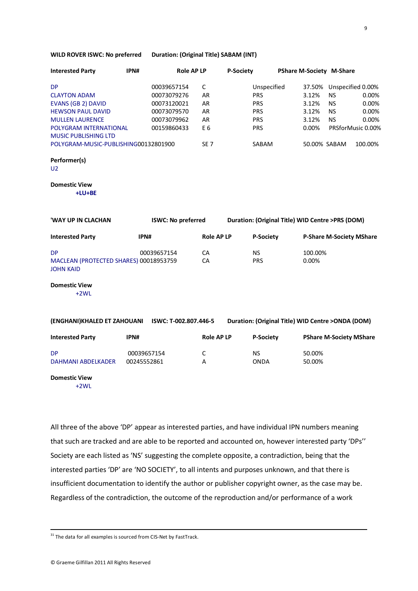| <b>Interested Party</b>                                    | IPN#                      | <b>Role AP LP</b> | <b>P-Society</b> | <b>PShare M-Society M-Share</b>                    |                                 |
|------------------------------------------------------------|---------------------------|-------------------|------------------|----------------------------------------------------|---------------------------------|
| <b>DP</b>                                                  | 00039657154               | C                 | Unspecified      | 37.50%                                             | Unspecified 0.00%               |
| <b>CLAYTON ADAM</b>                                        | 00073079276               | AR                | <b>PRS</b>       | 3.12%                                              | <b>NS</b><br>0.00%              |
| <b>EVANS (GB 2) DAVID</b>                                  | 00073120021               | AR                | <b>PRS</b>       | 3.12%                                              | <b>NS</b><br>0.00%              |
| <b>HEWSON PAUL DAVID</b>                                   | 00073079570               | AR                | <b>PRS</b>       | 3.12%                                              | <b>NS</b><br>0.00%              |
| <b>MULLEN LAURENCE</b>                                     | 00073079962               | AR                | <b>PRS</b>       | 3.12%                                              | <b>NS</b><br>0.00%              |
| POLYGRAM INTERNATIONAL                                     | 00159860433               | E <sub>6</sub>    | <b>PRS</b>       | 0.00%                                              | PRSforMusic 0.00%               |
| <b>MUSIC PUBLISHING LTD</b>                                |                           |                   |                  |                                                    |                                 |
| POLYGRAM-MUSIC-PUBLISHING00132801900                       |                           | <b>SE 7</b>       | SABAM            |                                                    | 50.00% SABAM<br>100.00%         |
| Performer(s)<br>U <sub>2</sub>                             |                           |                   |                  |                                                    |                                 |
| <b>Domestic View</b><br>+LU+BE                             |                           |                   |                  |                                                    |                                 |
| 'WAY UP IN CLACHAN                                         | <b>ISWC: No preferred</b> |                   |                  | Duration: (Original Title) WID Centre >PRS (DOM)   |                                 |
| <b>Interested Party</b>                                    | IPN#                      | <b>Role AP LP</b> | P-Society        |                                                    | <b>P-Share M-Society MShare</b> |
| <b>DP</b>                                                  | 00039657154               | CA                | <b>NS</b>        | 100.00%                                            |                                 |
| MACLEAN (PROTECTED SHARES) 00018953759<br><b>JOHN KAID</b> |                           | CA                | <b>PRS</b>       | 0.00%                                              |                                 |
| <b>Domestic View</b><br>$+2WL$                             |                           |                   |                  |                                                    |                                 |
| (ENGHANI)KHALED ET ZAHOUANI                                | ISWC: T-002.807.446-5     |                   |                  | Duration: (Original Title) WID Centre > ONDA (DOM) |                                 |
| <b>Interested Party</b>                                    | IPN#                      | <b>Role AP LP</b> | <b>P-Society</b> |                                                    | <b>PShare M-Society MShare</b>  |
| <b>DP</b>                                                  | 00039657154               | C                 | <b>NS</b>        | 50.00%                                             |                                 |
| <b>DAHMANI ABDELKADER</b>                                  | 00245552861               | А                 | <b>ONDA</b>      | 50.00%                                             |                                 |

#### **Domestic View**

 $\overline{a}$ 

+2WL

All three of the above 'DP' appear as interested parties, and have individual IPN numbers meaning that such are tracked and are able to be reported and accounted on, however interested party 'DPs'' Society are each listed as 'NS' suggesting the complete opposite, a contradiction, being that the interested parties 'DP' are 'NO SOCIETY', to all intents and purposes unknown, and that there is insufficient documentation to identify the author or publisher copyright owner, as the case may be. Regardless of the contradiction, the outcome of the reproduction and/or performance of a work

 $31$  The data for all examples is sourced from CIS-Net by FastTrack.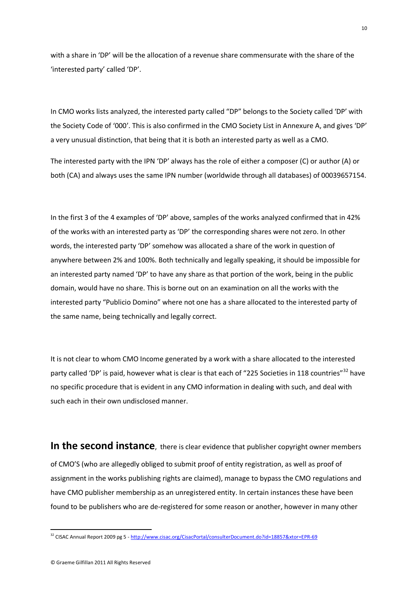with a share in 'DP' will be the allocation of a revenue share commensurate with the share of the 'interested party' called 'DP'.

In CMO works lists analyzed, the interested party called "DP" belongs to the Society called 'DP' with the Society Code of '000'. This is also confirmed in the CMO Society List in Annexure A, and gives 'DP' a very unusual distinction, that being that it is both an interested party as well as a CMO.

The interested party with the IPN 'DP' always has the role of either a composer (C) or author (A) or both (CA) and always uses the same IPN number (worldwide through all databases) of 00039657154.

In the first 3 of the 4 examples of 'DP' above, samples of the works analyzed confirmed that in 42% of the works with an interested party as 'DP' the corresponding shares were not zero. In other words, the interested party 'DP' somehow was allocated a share of the work in question of anywhere between 2% and 100%. Both technically and legally speaking, it should be impossible for an interested party named 'DP' to have any share as that portion of the work, being in the public domain, would have no share. This is borne out on an examination on all the works with the interested party "Publicio Domino" where not one has a share allocated to the interested party of the same name, being technically and legally correct.

It is not clear to whom CMO Income generated by a work with a share allocated to the interested party called 'DP' is paid, however what is clear is that each of "225 Societies in 118 countries"<sup>32</sup> have no specific procedure that is evident in any CMO information in dealing with such, and deal with such each in their own undisclosed manner.

In the second instance, there is clear evidence that publisher copyright owner members of CMO'S (who are allegedly obliged to submit proof of entity registration, as well as proof of assignment in the works publishing rights are claimed), manage to bypass the CMO regulations and have CMO publisher membership as an unregistered entity. In certain instances these have been found to be publishers who are de-registered for some reason or another, however in many other

 $\overline{a}$ 

<sup>&</sup>lt;sup>32</sup> CISAC Annual Report 2009 pg 5 - http://www.cisac.org/CisacPortal/consulterDocument.do?id=18857&xtor=EPR-69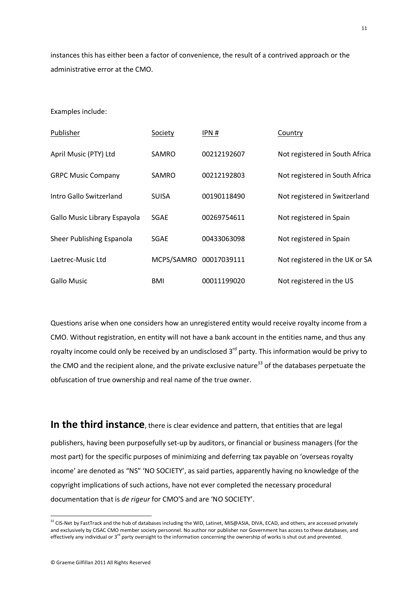instances this has either been a factor of convenience, the result of a contrived approach or the administrative error at the CMO.

## Examples include:

| Publisher                    | Society                | IPN #       | Country                        |
|------------------------------|------------------------|-------------|--------------------------------|
| April Music (PTY) Ltd        | SAMRO                  | 00212192607 | Not registered in South Africa |
| <b>GRPC Music Company</b>    | SAMRO                  | 00212192803 | Not registered in South Africa |
| Intro Gallo Switzerland      | <b>SUISA</b>           | 00190118490 | Not registered in Switzerland  |
| Gallo Music Library Espayola | SGAE                   | 00269754611 | Not registered in Spain        |
| Sheer Publishing Espanola    | SGAE                   | 00433063098 | Not registered in Spain        |
| Laetrec-Music Ltd            | MCPS/SAMRO 00017039111 |             | Not registered in the UK or SA |
| Gallo Music                  | BMI                    | 00011199020 | Not registered in the US       |

Questions arise when one considers how an unregistered entity would receive royalty income from a CMO. Without registration, en entity will not have a bank account in the entities name, and thus any royalty income could only be received by an undisclosed 3<sup>rd</sup> party. This information would be privy to the CMO and the recipient alone, and the private exclusive nature<sup>33</sup> of the databases perpetuate the obfuscation of true ownership and real name of the true owner.

**In the third instance**, there is clear evidence and pattern, that entities that are legal publishers, having been purposefully set-up by auditors, or financial or business managers (for the most part) for the specific purposes of minimizing and deferring tax payable on 'overseas royalty income' are denoted as "NS" 'NO SOCIETY', as said parties, apparently having no knowledge of the copyright implications of such actions, have not ever completed the necessary procedural documentation that is *de rigeur* for CMO'S and are 'NO SOCIETY'.

<sup>33</sup> CIS-Net by FastTrack and the hub of databases including the WID, Latinet, MIS@ASIA, DIVA, ECAD, and others, are accessed privately and exclusively by CISAC CMO member society personnel. No author nor publisher nor Government has access to these databases, and effectively any individual or  $3^{rd}$  party oversight to the information concerning the ownership of works is shut out and prevented.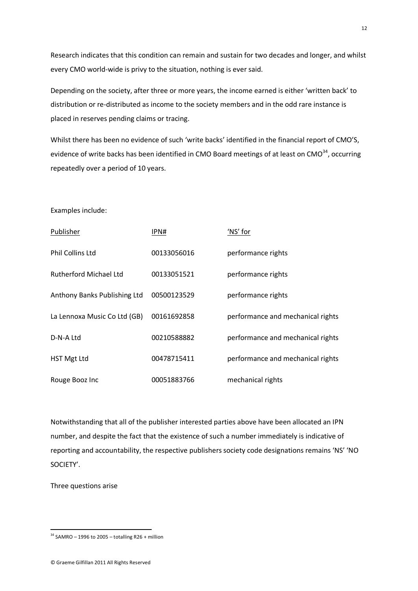Research indicates that this condition can remain and sustain for two decades and longer, and whilst every CMO world-wide is privy to the situation, nothing is ever said.

Depending on the society, after three or more years, the income earned is either 'written back' to distribution or re-distributed as income to the society members and in the odd rare instance is placed in reserves pending claims or tracing.

Whilst there has been no evidence of such 'write backs' identified in the financial report of CMO'S, evidence of write backs has been identified in CMO Board meetings of at least on CMO<sup>34</sup>, occurring repeatedly over a period of 10 years.

## Examples include:

| Publisher                     | IPN#        | 'NS' for                          |
|-------------------------------|-------------|-----------------------------------|
| <b>Phil Collins Ltd</b>       | 00133056016 | performance rights                |
| <b>Rutherford Michael Ltd</b> | 00133051521 | performance rights                |
| Anthony Banks Publishing Ltd  | 00500123529 | performance rights                |
| La Lennoxa Music Co Ltd (GB)  | 00161692858 | performance and mechanical rights |
| D-N-A Ltd                     | 00210588882 | performance and mechanical rights |
| <b>HST Mgt Ltd</b>            | 00478715411 | performance and mechanical rights |
| Rouge Booz Inc                | 00051883766 | mechanical rights                 |

Notwithstanding that all of the publisher interested parties above have been allocated an IPN number, and despite the fact that the existence of such a number immediately is indicative of reporting and accountability, the respective publishers society code designations remains 'NS' 'NO SOCIETY'.

Three questions arise

 $\overline{\phantom{a}}$ 

 $34$  SAMRO – 1996 to 2005 – totalling R26 + million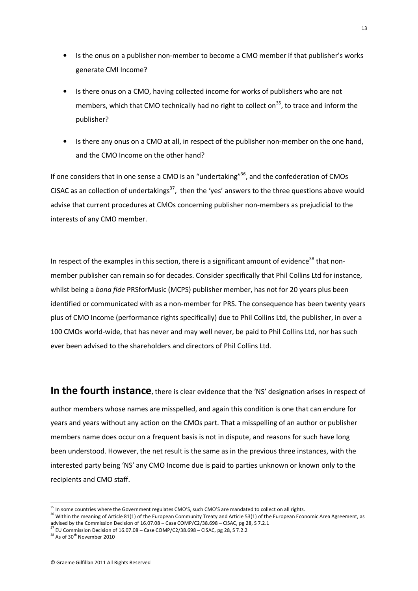- Is the onus on a publisher non-member to become a CMO member if that publisher's works generate CMI Income?
- Is there onus on a CMO, having collected income for works of publishers who are not members, which that CMO technically had no right to collect on<sup>35</sup>, to trace and inform the publisher?
- Is there any onus on a CMO at all, in respect of the publisher non-member on the one hand, and the CMO Income on the other hand?

If one considers that in one sense a CMO is an "undertaking"<sup>36</sup>, and the confederation of CMOs CISAC as an collection of undertakings<sup>37</sup>, then the 'yes' answers to the three questions above would advise that current procedures at CMOs concerning publisher non-members as prejudicial to the interests of any CMO member.

In respect of the examples in this section, there is a significant amount of evidence<sup>38</sup> that nonmember publisher can remain so for decades. Consider specifically that Phil Collins Ltd for instance, whilst being a *bona fide* PRSforMusic (MCPS) publisher member, has not for 20 years plus been identified or communicated with as a non-member for PRS. The consequence has been twenty years plus of CMO Income (performance rights specifically) due to Phil Collins Ltd, the publisher, in over a 100 CMOs world-wide, that has never and may well never, be paid to Phil Collins Ltd, nor has such ever been advised to the shareholders and directors of Phil Collins Ltd.

In the fourth instance, there is clear evidence that the 'NS' designation arises in respect of author members whose names are misspelled, and again this condition is one that can endure for years and years without any action on the CMOs part. That a misspelling of an author or publisher members name does occur on a frequent basis is not in dispute, and reasons for such have long been understood. However, the net result is the same as in the previous three instances, with the interested party being 'NS' any CMO Income due is paid to parties unknown or known only to the recipients and CMO staff.

 $37$  EU Commission Decision of 16.07.08 – Case COMP/C2/38.698 – CISAC, pg 28, S 7.2.2

<sup>&</sup>lt;sup>35</sup> In some countries where the Government regulates CMO'S, such CMO'S are mandated to collect on all rights.

<sup>&</sup>lt;sup>36</sup> Within the meaning of Article 81(1) of the European Community Treaty and Article 53(1) of the European Economic Area Agreement, as advised by the Commission Decision of 16.07.08 – Case COMP/C2/38.698 – CISAC, pg 28, S 7.2.1

 $38$  As of 30<sup>th</sup> November 2010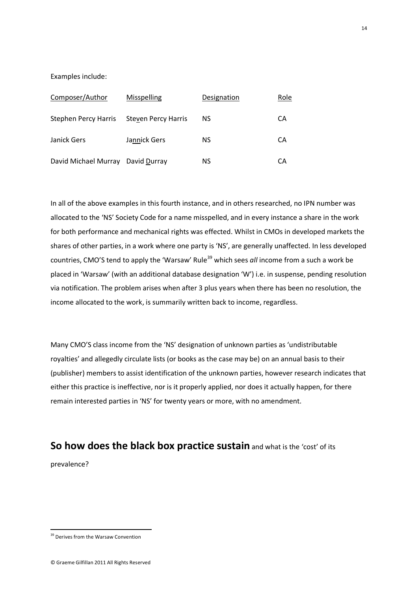Examples include:

| Composer/Author                   | Misspelling                | Designation | Role |
|-----------------------------------|----------------------------|-------------|------|
| Stephen Percy Harris              | <b>Steven Percy Harris</b> | NS          | CА   |
| Janick Gers                       | Jannick Gers               | NS          | CА   |
| David Michael Murray David Durray |                            | NS          | CА   |

In all of the above examples in this fourth instance, and in others researched, no IPN number was allocated to the 'NS' Society Code for a name misspelled, and in every instance a share in the work for both performance and mechanical rights was effected. Whilst in CMOs in developed markets the shares of other parties, in a work where one party is 'NS', are generally unaffected. In less developed countries, CMO'S tend to apply the 'Warsaw' Rule<sup>39</sup> which sees *all* income from a such a work be placed in 'Warsaw' (with an additional database designation 'W') i.e. in suspense, pending resolution via notification. The problem arises when after 3 plus years when there has been no resolution, the income allocated to the work, is summarily written back to income, regardless.

Many CMO'S class income from the 'NS' designation of unknown parties as 'undistributable royalties' and allegedly circulate lists (or books as the case may be) on an annual basis to their (publisher) members to assist identification of the unknown parties, however research indicates that either this practice is ineffective, nor is it properly applied, nor does it actually happen, for there remain interested parties in 'NS' for twenty years or more, with no amendment.

# **So how does the black box practice sustain** and what is the 'cost' of its

prevalence?

 $\overline{\phantom{a}}$ 

<sup>39</sup> Derives from the Warsaw Convention

<sup>©</sup> Graeme Gilfillan 2011 All Rights Reserved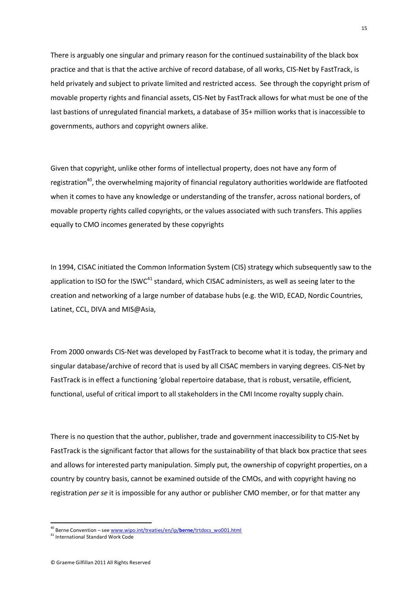There is arguably one singular and primary reason for the continued sustainability of the black box practice and that is that the active archive of record database, of all works, CIS-Net by FastTrack, is held privately and subject to private limited and restricted access. See through the copyright prism of movable property rights and financial assets, CIS-Net by FastTrack allows for what must be one of the last bastions of unregulated financial markets, a database of 35+ million works that is inaccessible to governments, authors and copyright owners alike.

Given that copyright, unlike other forms of intellectual property, does not have any form of registration<sup>40</sup>, the overwhelming majority of financial regulatory authorities worldwide are flatfooted when it comes to have any knowledge or understanding of the transfer, across national borders, of movable property rights called copyrights, or the values associated with such transfers. This applies equally to CMO incomes generated by these copyrights

In 1994, CISAC initiated the Common Information System (CIS) strategy which subsequently saw to the application to ISO for the ISWC<sup>41</sup> standard, which CISAC administers, as well as seeing later to the creation and networking of a large number of database hubs (e.g. the WID, ECAD, Nordic Countries, Latinet, CCL, DIVA and MIS@Asia,

From 2000 onwards CIS-Net was developed by FastTrack to become what it is today, the primary and singular database/archive of record that is used by all CISAC members in varying degrees. CIS-Net by FastTrack is in effect a functioning 'global repertoire database, that is robust, versatile, efficient, functional, useful of critical import to all stakeholders in the CMI Income royalty supply chain.

There is no question that the author, publisher, trade and government inaccessibility to CIS-Net by FastTrack is the significant factor that allows for the sustainability of that black box practice that sees and allows for interested party manipulation. Simply put, the ownership of copyright properties, on a country by country basis, cannot be examined outside of the CMOs, and with copyright having no registration *per se* it is impossible for any author or publisher CMO member, or for that matter any

<sup>40</sup> Berne Convention – see www.wipo.int/treaties/en/ip/**berne**/trtdocs\_wo001.html

<sup>41</sup> International Standard Work Code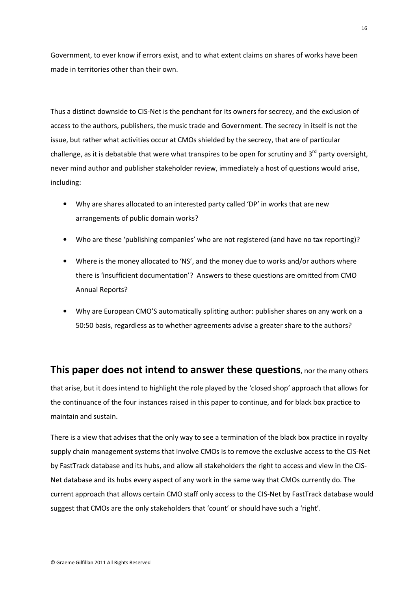Government, to ever know if errors exist, and to what extent claims on shares of works have been made in territories other than their own.

Thus a distinct downside to CIS-Net is the penchant for its owners for secrecy, and the exclusion of access to the authors, publishers, the music trade and Government. The secrecy in itself is not the issue, but rather what activities occur at CMOs shielded by the secrecy, that are of particular challenge, as it is debatable that were what transpires to be open for scrutiny and  $3<sup>rd</sup>$  party oversight, never mind author and publisher stakeholder review, immediately a host of questions would arise, including:

- Why are shares allocated to an interested party called 'DP' in works that are new arrangements of public domain works?
- Who are these 'publishing companies' who are not registered (and have no tax reporting)?
- Where is the money allocated to 'NS', and the money due to works and/or authors where there is 'insufficient documentation'? Answers to these questions are omitted from CMO Annual Reports?
- Why are European CMO'S automatically splitting author: publisher shares on any work on a 50:50 basis, regardless as to whether agreements advise a greater share to the authors?

**This paper does not intend to answer these questions**, nor the many others that arise, but it does intend to highlight the role played by the 'closed shop' approach that allows for the continuance of the four instances raised in this paper to continue, and for black box practice to maintain and sustain.

There is a view that advises that the only way to see a termination of the black box practice in royalty supply chain management systems that involve CMOs is to remove the exclusive access to the CIS-Net by FastTrack database and its hubs, and allow all stakeholders the right to access and view in the CIS-Net database and its hubs every aspect of any work in the same way that CMOs currently do. The current approach that allows certain CMO staff only access to the CIS-Net by FastTrack database would suggest that CMOs are the only stakeholders that 'count' or should have such a 'right'.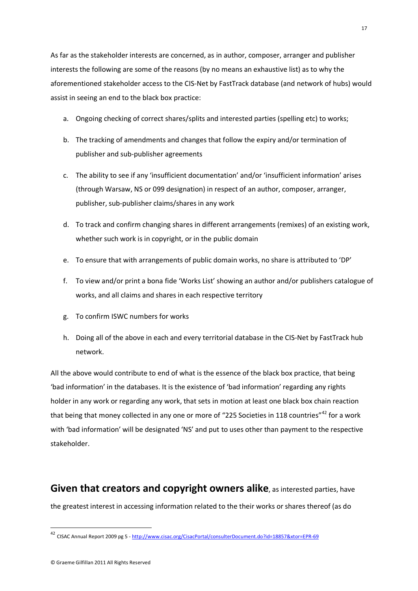As far as the stakeholder interests are concerned, as in author, composer, arranger and publisher interests the following are some of the reasons (by no means an exhaustive list) as to why the aforementioned stakeholder access to the CIS-Net by FastTrack database (and network of hubs) would assist in seeing an end to the black box practice:

- a. Ongoing checking of correct shares/splits and interested parties (spelling etc) to works;
- b. The tracking of amendments and changes that follow the expiry and/or termination of publisher and sub-publisher agreements
- c. The ability to see if any 'insufficient documentation' and/or 'insufficient information' arises (through Warsaw, NS or 099 designation) in respect of an author, composer, arranger, publisher, sub-publisher claims/shares in any work
- d. To track and confirm changing shares in different arrangements (remixes) of an existing work, whether such work is in copyright, or in the public domain
- e. To ensure that with arrangements of public domain works, no share is attributed to 'DP'
- f. To view and/or print a bona fide 'Works List' showing an author and/or publishers catalogue of works, and all claims and shares in each respective territory
- g. To confirm ISWC numbers for works
- h. Doing all of the above in each and every territorial database in the CIS-Net by FastTrack hub network.

All the above would contribute to end of what is the essence of the black box practice, that being 'bad information' in the databases. It is the existence of 'bad information' regarding any rights holder in any work or regarding any work, that sets in motion at least one black box chain reaction that being that money collected in any one or more of "225 Societies in 118 countries"<sup>42</sup> for a work with 'bad information' will be designated 'NS' and put to uses other than payment to the respective stakeholder.

**Given that creators and copyright owners alike**, as interested parties, have the greatest interest in accessing information related to the their works or shares thereof (as do

<u>.</u>

<sup>42</sup> CISAC Annual Report 2009 pg 5 - http://www.cisac.org/CisacPortal/consulterDocument.do?id=18857&xtor=EPR-69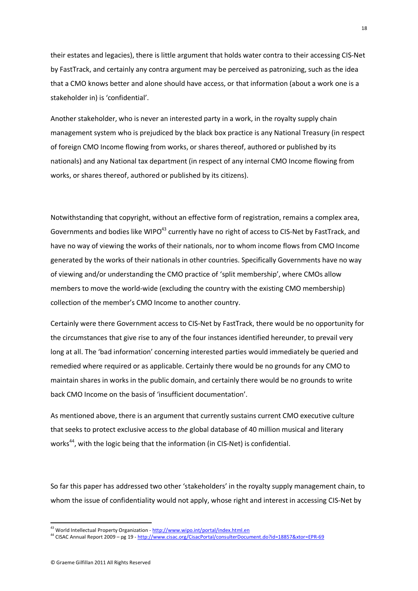their estates and legacies), there is little argument that holds water contra to their accessing CIS-Net by FastTrack, and certainly any contra argument may be perceived as patronizing, such as the idea that a CMO knows better and alone should have access, or that information (about a work one is a stakeholder in) is 'confidential'.

Another stakeholder, who is never an interested party in a work, in the royalty supply chain management system who is prejudiced by the black box practice is any National Treasury (in respect of foreign CMO Income flowing from works, or shares thereof, authored or published by its nationals) and any National tax department (in respect of any internal CMO Income flowing from works, or shares thereof, authored or published by its citizens).

Notwithstanding that copyright, without an effective form of registration, remains a complex area, Governments and bodies like WIPO<sup>43</sup> currently have no right of access to CIS-Net by FastTrack, and have no way of viewing the works of their nationals, nor to whom income flows from CMO Income generated by the works of their nationals in other countries. Specifically Governments have no way of viewing and/or understanding the CMO practice of 'split membership', where CMOs allow members to move the world-wide (excluding the country with the existing CMO membership) collection of the member's CMO Income to another country.

Certainly were there Government access to CIS-Net by FastTrack, there would be no opportunity for the circumstances that give rise to any of the four instances identified hereunder, to prevail very long at all. The 'bad information' concerning interested parties would immediately be queried and remedied where required or as applicable. Certainly there would be no grounds for any CMO to maintain shares in works in the public domain, and certainly there would be no grounds to write back CMO Income on the basis of 'insufficient documentation'.

As mentioned above, there is an argument that currently sustains current CMO executive culture that seeks to protect exclusive access to *the* global database of 40 million musical and literary works<sup>44</sup>, with the logic being that the information (in CIS-Net) is confidential.

So far this paper has addressed two other 'stakeholders' in the royalty supply management chain, to whom the issue of confidentiality would not apply, whose right and interest in accessing CIS-Net by

<sup>&</sup>lt;sup>43</sup> World Intellectual Property Organization - http://www.wipo.int/portal/index.html.en

<sup>44</sup> CISAC Annual Report 2009 – pg 19 - http://www.cisac.org/CisacPortal/consulterDocument.do?id=18857&xtor=EPR-69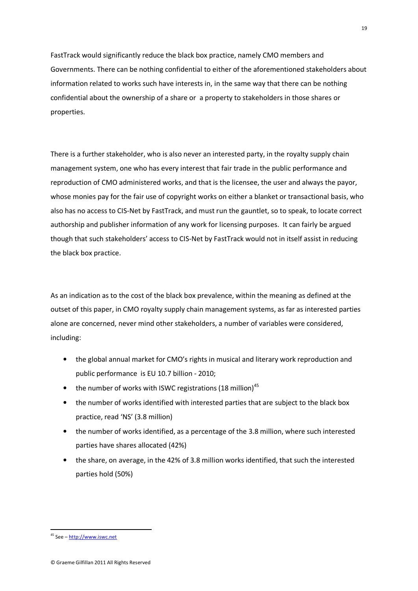FastTrack would significantly reduce the black box practice, namely CMO members and Governments. There can be nothing confidential to either of the aforementioned stakeholders about information related to works such have interests in, in the same way that there can be nothing confidential about the ownership of a share or a property to stakeholders in those shares or properties.

There is a further stakeholder, who is also never an interested party, in the royalty supply chain management system, one who has every interest that fair trade in the public performance and reproduction of CMO administered works, and that is the licensee, the user and always the payor, whose monies pay for the fair use of copyright works on either a blanket or transactional basis, who also has no access to CIS-Net by FastTrack, and must run the gauntlet, so to speak, to locate correct authorship and publisher information of any work for licensing purposes. It can fairly be argued though that such stakeholders' access to CIS-Net by FastTrack would not in itself assist in reducing the black box practice.

As an indication as to the cost of the black box prevalence, within the meaning as defined at the outset of this paper, in CMO royalty supply chain management systems, as far as interested parties alone are concerned, never mind other stakeholders, a number of variables were considered, including:

- the global annual market for CMO's rights in musical and literary work reproduction and public performance is EU 10.7 billion - 2010;
- the number of works with ISWC registrations  $(18 \text{ million})^{45}$
- the number of works identified with interested parties that are subject to the black box practice, read 'NS' (3.8 million)
- the number of works identified, as a percentage of the 3.8 million, where such interested parties have shares allocated (42%)
- the share, on average, in the 42% of 3.8 million works identified, that such the interested parties hold (50%)

19

 $\overline{\phantom{a}}$ 

<sup>45</sup> See – http://www.iswc.net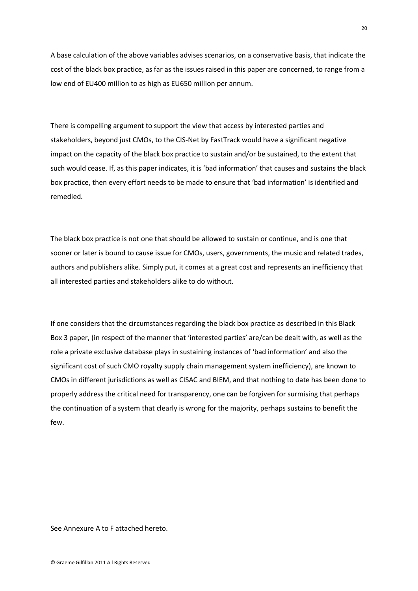A base calculation of the above variables advises scenarios, on a conservative basis, that indicate the cost of the black box practice, as far as the issues raised in this paper are concerned, to range from a low end of EU400 million to as high as EU650 million per annum.

There is compelling argument to support the view that access by interested parties and stakeholders, beyond just CMOs, to the CIS-Net by FastTrack would have a significant negative impact on the capacity of the black box practice to sustain and/or be sustained, to the extent that such would cease. If, as this paper indicates, it is 'bad information' that causes and sustains the black box practice, then every effort needs to be made to ensure that 'bad information' is identified and remedied.

The black box practice is not one that should be allowed to sustain or continue, and is one that sooner or later is bound to cause issue for CMOs, users, governments, the music and related trades, authors and publishers alike. Simply put, it comes at a great cost and represents an inefficiency that all interested parties and stakeholders alike to do without.

If one considers that the circumstances regarding the black box practice as described in this Black Box 3 paper, (in respect of the manner that 'interested parties' are/can be dealt with, as well as the role a private exclusive database plays in sustaining instances of 'bad information' and also the significant cost of such CMO royalty supply chain management system inefficiency), are known to CMOs in different jurisdictions as well as CISAC and BIEM, and that nothing to date has been done to properly address the critical need for transparency, one can be forgiven for surmising that perhaps the continuation of a system that clearly is wrong for the majority, perhaps sustains to benefit the few.

See Annexure A to F attached hereto.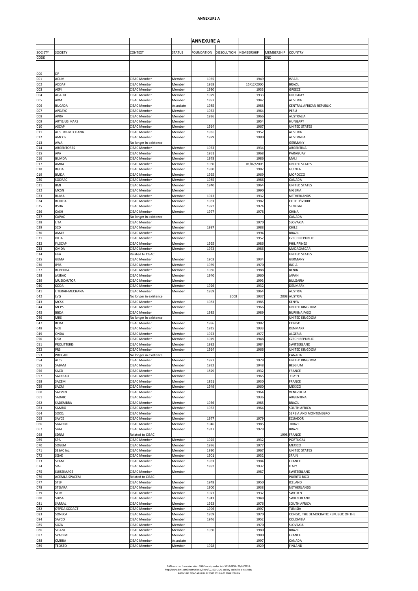|            |                                 |                                     |                  | <b>ANNEXURE A</b> |                        |                    |            |                                        |
|------------|---------------------------------|-------------------------------------|------------------|-------------------|------------------------|--------------------|------------|----------------------------------------|
|            |                                 |                                     |                  |                   |                        |                    |            |                                        |
| SOCIETY    | SOCIETY                         | CONTEXT                             | <b>STATUS</b>    | <b>FOUNDATION</b> | DISSOLUTION MEMBERSHIP |                    | MEMBERSHIP | <b>COUNTRY</b>                         |
| CODE       |                                 |                                     |                  |                   |                        |                    | END        |                                        |
|            |                                 |                                     |                  |                   |                        |                    |            |                                        |
| 000        | DP                              |                                     |                  |                   |                        |                    |            |                                        |
| 001        | <b>ACUM</b>                     | CISAC Member                        | Member           | 1935              |                        | 1949               |            | <b>ISRAEL</b>                          |
| 002        | ADDAF                           | CISAC Member                        | Member           | 1958              |                        | 15/12/2000         |            | <b>BRAZIL</b>                          |
| 003<br>004 | AEPI<br>AGADU                   | CISAC Member<br>CISAC Member        | Member<br>Member | 1930<br>1929      |                        | 1933<br>1933       |            | GREECE<br>URUGUAY                      |
| 005        | AKM                             | CISAC Member                        | Member           | 1897              |                        | 1947               |            | <b>AUSTRIA</b>                         |
| 006        | <b>BUCADA</b>                   | CISAC Member                        | Associate        | 1985              |                        | 1988               |            | CENTRAL AFRICAN REPUBLIC               |
| 007        | APDAYC                          | CISAC Member                        | Member           | 1952              |                        | 1964               |            | PERU                                   |
| 008        | APRA                            | CISAC Member                        | Member           | 1926              |                        | 1966               |            | <b>AUSTRALIA</b>                       |
| 009        | <b>ARTISJUS MARS</b><br>ASCAP   | CISAC Member                        | Member           |                   |                        | 1954               |            | <b>HUNGARY</b>                         |
| 010<br>011 | AUSTRO-MECHANA                  | CISAC Member<br>CISAC Member        | Member<br>Member | 1914<br>1936      |                        | 1967<br>1952       |            | <b>UNITED STATES</b><br>AUSTRIA        |
| 012        | AMCOS                           | CISAC Member                        | Member           | 1979              |                        | 1980               |            | <b>AUSTRALIA</b>                       |
| 013        | AWA                             | No longer in existence              |                  |                   |                        |                    |            | <b>GERMANY</b>                         |
| 014        | ARGENTORES                      | CISAC Member                        | Member           | 1933              |                        | 1934               |            | ARGENTINA                              |
| 015        | APA                             | CISAC Member                        | Member           | 1951              |                        | 1968               |            | PARAGUAY                               |
| 016<br>017 | <b>BUMDA</b><br>AMRA            | CISAC Member<br>CISAC Member        | Member<br>Member | 1978<br>1960      |                        | 1986<br>01/07/2005 |            | MALI<br>UNITED STATES                  |
| 018        | <b>BGDA</b>                     | CISAC Member                        | Member           | 1980              |                        | 1982               |            | <b>GUINEA</b>                          |
| 019        | <b>BMDA</b>                     | CISAC Member                        | Member           | 1965              |                        | 1969               |            | MOROCCO                                |
| 020        | SODRAC                          | CISAC Member                        | Member           | 1985              |                        | 1986               |            | CANADA                                 |
| 021        | BMI                             | CISAC Member                        | Member           | 1940              |                        | 1964               |            | UNITED STATES                          |
| 022        | <b>MCSN</b>                     | CISAC Member                        | Member           |                   |                        | 1990               |            | NIGERIA                                |
| 023<br>024 | <b>BUMA</b><br><b>BURIDA</b>    | CISAC Member<br>CISAC Member        | Member<br>Member | 1913<br>1981      |                        | 1932<br>1982       |            | NETHERLANDS<br><b>COTE D'IVOIRE</b>    |
| 025        | <b>BSDA</b>                     | CISAC Member                        | Member           | 1972              |                        | 1974               |            | SENEGAL                                |
| 026        | CASH                            | CISAC Member                        | Member           | 1977              |                        | 1978               |            | CHINA                                  |
| 027        | CAPAC                           | No longer in existence              |                  |                   |                        |                    |            | CANADA                                 |
| 028        | LITA                            | CISAC Member                        | Member           |                   |                        | 1970               |            | SLOVAKIA                               |
| 029        | SCD                             | CISAC Member                        | Member           | 1987              |                        | 1988               |            | CHILE                                  |
| 030<br>031 | AMAR<br>DILIA                   | CISAC Member<br>CISAC Member        | Member<br>Member |                   |                        | 1994<br>1952       |            | <b>BRAZIL</b><br><b>CZECH REPUBLIC</b> |
| 032        | <b>FILSCAP</b>                  | CISAC Member                        | Member           | 1965              |                        | 1986               |            | PHILIPPINES                            |
| 033        | OMDA                            | CISAC Member                        | Member           | 1973              |                        | 1986               |            | MADAGASCAR                             |
| 034        | HFA                             | Related to CISAC                    |                  |                   |                        |                    |            | UNITED STATES                          |
| 035        | <b>GEMA</b>                     | CISAC Member                        | Member           | 1903              |                        | 1934               |            | <b>GERMANY</b>                         |
| 036        | <b>IPRS</b>                     | CISAC Member                        | Member           | 1969              |                        | 1970               |            | <b>INDIA</b>                           |
| 037<br>038 | <b>BUBEDRA</b><br><b>JASRAC</b> | CISAC Member                        | Member<br>Member | 1986<br>1940      |                        | 1988<br>1960       |            | <b>BENIN</b><br><b>JAPAN</b>           |
| 039        | <b>MUSICAUTOR</b>               | CISAC Member<br>CISAC Member        | Member           |                   |                        | 1993               |            | <b>BULGARIA</b>                        |
| 040        | KODA                            | CISAC Member                        | Member           | 1926              |                        | 1932               |            | DENMARK                                |
| 041        | LITERAR-MECHANA                 | CISAC Member                        | Member           | 1959              |                        | 1964               |            | <b>AUSTRIA</b>                         |
| 042        | LVG                             | No longer in existence              |                  |                   | 2008                   | 1937               |            | 2008 AUSTRIA                           |
| 043        | <b>MCSK</b>                     | CISAC Member                        | Member           | 1983              |                        | 1985               |            | KENYA                                  |
| 044<br>045 | <b>MCPS</b><br><b>BBDA</b>      | CISAC Member<br>CISAC Member        | Member<br>Member | 1985              |                        | 1966<br>1989       |            | UNITED KINGDOM<br><b>BURKINA FASO</b>  |
| 046        | MRS                             | No longer in existence              |                  |                   |                        |                    |            | UNITED KINGDOM                         |
| 047        | <b>BCDA</b>                     | CISAC Member                        | Member           | 1986              |                        | 1987               |            | CONGO                                  |
| 048        | <b>NCB</b>                      | CISAC Member                        | Member           | 1915              |                        | 1933               |            | <b>DENMARK</b>                         |
| 049        | ONDA                            | CISAC Member                        | Member           | 1973              |                        | 1977               |            | ALGERIA                                |
| 050        | OSA<br><b>PROLITTERIS</b>       | CISAC Member                        | Member           | 1919              |                        | 1948               |            | <b>CZECH REPUBLIC</b>                  |
| 051<br>052 | PRS                             | CISAC Member<br><b>CISAC Member</b> | Member<br>Member | 1982<br>1914      |                        | 1984<br>1966       |            | SWITZERLAND<br>UNITED KINGDOM          |
| 053        | PROCAN                          | No longer in existence              |                  |                   |                        |                    |            | CANADA                                 |
| 054        | ALCS                            | CISAC Member                        | Member           | 1977              |                        | 1979               |            | UNITED KINGDOM                         |
| 055        | SABAM                           | CISAC Member                        | Member           | 1922              |                        | 1948               |            | <b>BELGIUM</b>                         |
| 056        | SACD                            | CISAC Member                        | Member           | 1829              |                        | 1932               |            | FRANCE                                 |
| 057        | SACERAU                         | CISAC Member                        | Member           |                   |                        | 1965               |            | EGYPT                                  |
| 058<br>059 | SACEM<br>SACM                   | CISAC Member<br>CISAC Member        | Member<br>Member | 1851<br>1949      |                        | 1930<br>1960       |            | <b>FRANCE</b><br>MEXICO                |
| 060        | SACVEN                          | <b>CISAC Member</b>                 | Member           |                   |                        | 1964               |            | VENEZUELA                              |
| 061        | SADAIC                          | CISAC Member                        | Member           |                   |                        | 1936               |            | ARGENTINA                              |
| 062        | SADEMBRA                        | CISAC Member                        | Member           | 1956              |                        | 1985               |            | <b>BRAZIL</b>                          |
| 063        | SAMRO                           | CISAC Member                        | Member           | 1962              |                        | 1964               |            | SOUTH AFRICA                           |
| 064<br>065 | SOKOJ<br>SAYCE                  | CISAC Member<br>CISAC Member        | Member<br>Member | 1977              |                        | 1979               |            | SERBIA AND MONTENEGRO<br>ECUADOR       |
| 066        | SBACEM                          | CISAC Member                        | Member           | 1946              |                        | 1985               |            | <b>BRAZIL</b>                          |
| 067        | SBAT                            | CISAC Member                        | Member           | 1917              |                        | 1929               |            | <b>BRAZIL</b>                          |
| 068        | SDRM                            | Related to CISAC                    |                  |                   |                        |                    |            | 1998 FRANCE                            |
| 069        | SPA                             | CISAC Member                        | Member           | 1925              |                        | 1932               |            | PORTUGAL                               |
| 070        | SOGEM                           | CISAC Member                        | Member           | 1976              |                        | 1977               |            | MEXICO                                 |
| 071<br>072 | SESAC Inc.<br>SGAE              | CISAC Member<br>CISAC Member        | Member<br>Member | 1930<br>1901      |                        | 1967<br>1932       |            | <b>UNITED STATES</b><br>SPAIN          |
| 073        | SCAM                            | CISAC Member                        | Member           | 1981              |                        | 1984               |            | FRANCE                                 |
| 074        | SIAE                            | CISAC Member                        | Member           | 1882              |                        | 1932               |            | <b>ITALY</b>                           |
| 075        | SUISSIMAGE                      | CISAC Member                        | Member           |                   |                        | 1987               |            | SWITZERLAND                            |
| 076        | <b>ACEMLA SPACEM</b>            | Related to CISAC                    |                  |                   |                        |                    |            | <b>PUERTO RICO</b>                     |
| 077<br>078 | STEF<br>STEMRA                  | CISAC Member                        | Member<br>Member | 1948<br>1900      |                        | 1950<br>1938       |            | ICELAND                                |
| 079        | <b>STIM</b>                     | CISAC Member<br>CISAC Member        | Member           | 1923              |                        | 1932               |            | NETHERLANDS<br>SWEDEN                  |
| 080        | SUISA                           | CISAC Member                        | Member           | 1941              |                        | 1948               |            | SWITZERLAND                            |
| 081        | SARRAL                          | CISAC Member                        | Member           | 1963              |                        | 1976               |            | <b>SOUTH AFRICA</b>                    |
| 082        | OTPDA SODACT                    | CISAC Member                        | Member           | 1996              |                        | 1997               |            | <b>TUNISIA</b>                         |
| 083        | SONECA                          | CISAC Member                        | Member           | 1969              |                        | 1970               |            | CONGO, THE DEMOCRATIC REPUBLIC OF THE  |
| 084        | SAYCO                           | CISAC Member                        | Member           | 1946              |                        | 1952               |            | COLOMBIA                               |
| 085<br>086 | SOZA<br>SICAM                   | CISAC Member<br>CISAC Member        | Member<br>Member | 1960              |                        | 1970<br>1980       |            | SLOVAKIA<br><b>BRAZIL</b>              |
| 087        | SPACEM                          | CISAC Member                        | Member           |                   |                        | 1980               |            | FRANCE                                 |
| 088        | CMRRA                           | CISAC Member                        | Associate        |                   |                        | 1997               |            | CANADA                                 |
| 089        | <b>TEOSTO</b>                   | CISAC Member                        | Member           | 1928              |                        | 1929               |            | <b>FINLAND</b>                         |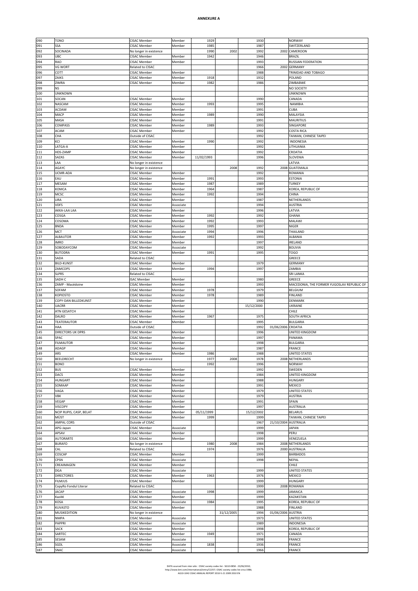| 090 | TONO                     | <b>CISAC Member</b>    | Member    | 1929       |            | 1930       |                      | <b>NORWAY</b>                              |
|-----|--------------------------|------------------------|-----------|------------|------------|------------|----------------------|--------------------------------------------|
| 091 | SSA                      | <b>CISAC Member</b>    | Member    | 1985       |            | 1987       |                      | SWITZERLAND                                |
| 092 | SOCINADA                 | No longer in existence |           | 1990       | 2002       | 1992       |                      | 2002 CAMEROON                              |
|     |                          |                        |           |            |            |            |                      |                                            |
| 093 | UBC                      | <b>CISAC Member</b>    | Member    | 1942       |            | 1946       |                      | <b>BRAZIL</b>                              |
| 094 | <b>RAO</b>               | <b>CISAC Member</b>    | Member    |            |            | 1993       |                      | <b>RUSSIAN FEDERATION</b>                  |
| 095 | <b>VG WORT</b>           | Related to CISAC       |           |            |            | 1966       |                      | 2002 GERMANY                               |
|     |                          |                        |           |            |            |            |                      |                                            |
| 096 | COTT                     | <b>CISAC Member</b>    | Member    |            |            | 1988       |                      | TRINIDAD AND TOBAGO                        |
| 097 | ZAIKS                    | <b>CISAC Member</b>    | Member    | 1918       |            | 1932       |                      | POLAND                                     |
| 098 | ZIMRA                    | <b>CISAC Member</b>    | Member    | 1982       |            | 1986       |                      | ZIMBABWE                                   |
| 099 | NS                       |                        |           |            |            |            |                      | NO SOCIETY                                 |
|     |                          |                        |           |            |            |            |                      |                                            |
| 100 | <b>UNKNOWN</b>           |                        |           |            |            |            |                      | <b>UNKNOWN</b>                             |
| 101 | SOCAN                    | <b>CISAC Member</b>    | Member    |            |            | 1990       |                      | CANADA                                     |
| 102 | NASCAM                   | <b>CISAC Member</b>    | Member    | 1993       |            | 1995       |                      | NAMIBIA                                    |
|     |                          |                        |           |            |            |            |                      |                                            |
| 103 | ACDAM                    | <b>CISAC Member</b>    | Member    |            |            | 1991       |                      | <b>CUBA</b>                                |
| 104 | MACP                     | <b>CISAC Member</b>    | Member    | 1989       |            | 1990       |                      | MALAYSIA                                   |
| 105 | MASA                     | <b>CISAC Member</b>    | Member    |            |            | 1991       |                      | <b>MAURITIUS</b>                           |
|     |                          |                        |           |            |            |            |                      |                                            |
| 106 | COMPASS                  | <b>CISAC Member</b>    | Member    | 1989       |            | 1993       |                      | SINGAPORE                                  |
| 107 | ACAM                     | <b>CISAC Member</b>    | Member    |            |            | 1992       |                      | <b>COSTA RICA</b>                          |
| 108 | CHA                      | Outside of CISAC       |           |            |            | 1992       |                      | TAIWAN, CHINESE TAIPEI                     |
|     |                          |                        |           |            |            |            |                      |                                            |
| 109 | KCI                      | <b>CISAC Member</b>    | Member    | 1990       |            | 1992       |                      | INDONESIA                                  |
| 110 | LATGA-A                  | <b>CISAC Member</b>    | Member    |            |            | 1992       |                      | LITHUANIA                                  |
| 111 | HDS-ZAMP                 | <b>CISAC Member</b>    | Member    |            |            | 1992       |                      | CROATIA                                    |
| 112 | SAZAS                    | <b>CISAC Member</b>    | Member    | 11/02/1993 |            | 1996       |                      | SLOVENIA                                   |
|     |                          |                        |           |            |            |            |                      |                                            |
| 113 | LAA                      | No longer in existence |           |            |            |            |                      | LATVIA                                     |
| 114 | AGAYC                    | No longer in existence |           |            | 2008       | 1992       |                      | 2008 GUATEMALA                             |
| 115 | UCMR-ADA                 | <b>CISAC Member</b>    | Member    |            |            | 1992       |                      | ROMANIA                                    |
|     |                          |                        |           |            |            |            |                      |                                            |
| 116 | EAU                      | <b>CISAC Member</b>    | Member    | 1991       |            | 1993       |                      | <b>ESTONIA</b>                             |
| 117 | MESAM                    | <b>CISAC Member</b>    | Member    | 1987       |            | 1989       |                      | <b>TURKEY</b>                              |
| 118 | KOMCA                    | <b>CISAC Member</b>    | Member    | 1964       |            | 1987       |                      | KOREA, REPUBLIC OF                         |
| 119 | MCSC                     | <b>CISAC Member</b>    | Member    | 1992       |            | 1994       |                      | CHINA                                      |
|     |                          |                        |           |            |            |            |                      |                                            |
| 120 | LIRA                     | <b>CISAC Member</b>    | Member    |            |            | 1987       |                      | NETHERLANDS                                |
| 121 | VDFS                     | <b>CISAC Member</b>    | Associate |            |            | 1994       |                      | <b>AUSTRIA</b>                             |
| 122 | AKKA-LAA LAA             | <b>CISAC Member</b>    | Member    |            |            | 1996       |                      | LATVIA                                     |
|     |                          |                        |           |            |            |            |                      |                                            |
| 123 | COSGA                    | <b>CISAC Member</b>    | Member    | 1992       |            | 1992       |                      | <b>GHANA</b>                               |
| 124 | COSOMA                   | <b>CISAC Member</b>    | Member    | 1992       |            | 1993       |                      | <b>MALAWI</b>                              |
| 125 | <b>BNDA</b>              | <b>CISAC Member</b>    | Member    | 1995       |            | 1997       |                      | NIGER                                      |
|     |                          |                        |           |            |            |            |                      |                                            |
| 126 | MCT                      | <b>CISAC Member</b>    | Associate | 1994       |            | 1996       |                      | THAILAND                                   |
| 127 | <b>ALBAUTOR</b>          | <b>CISAC Member</b>    | Member    | 1992       |            | 1993       |                      | ALBANIA                                    |
| 128 | <b>IMRO</b>              | <b>CISAC Member</b>    | Member    |            |            | 1997       |                      | IRELAND                                    |
|     |                          |                        |           |            |            |            |                      |                                            |
| 129 | SOBODAYCOM               | <b>CISAC Member</b>    | Associate |            |            | 1992       |                      | <b>BOLIVIA</b>                             |
| 130 | <b>BUTODRA</b>           | <b>CISAC Member</b>    | Member    | 1991       |            | 1995       |                      | <b>TOGO</b>                                |
| 131 | SADA                     | Related to CISAC       |           |            |            |            |                      | GREECE                                     |
|     |                          |                        |           |            |            |            |                      |                                            |
| 132 | <b>BILD-KUNST</b>        | <b>CISAC Member</b>    | Member    |            |            | 1979       |                      | <b>GERMANY</b>                             |
| 133 | ZAMCOPS                  | <b>CISAC Member</b>    | Member    | 1994       |            | 1997       |                      | ZAMBIA                                     |
| 134 | <b>SLPRS</b>             | Related to CISAC       |           |            |            |            |                      | <b>SRI LANKA</b>                           |
|     |                          |                        |           |            |            |            |                      |                                            |
| 135 | SADH C                   | <b>ISAC Member</b>     | Member    |            |            | 1980       |                      | GREECE                                     |
| 136 | ZAMP - Macédoine         | <b>CISAC Member</b>    | Member    |            |            | 1993       |                      | MACEDONIA, THE FORMER YUGOSLAV REPUBLIC OF |
| 137 | SOFAM                    | <b>CISAC Member</b>    | Member    | 1978       |            | 1979       |                      | <b>BELGIUM</b>                             |
|     |                          |                        |           |            |            |            |                      |                                            |
|     |                          |                        |           |            |            |            |                      |                                            |
| 138 | KOPIOSTO                 | <b>CISAC Member</b>    | Member    | 1978       |            | 1989       |                      | <b>FINLAND</b>                             |
| 139 | COPY-DAN BILLEDKUNST     | <b>CISAC Member</b>    | Member    |            |            | 1990       |                      | DENMARK                                    |
| 140 | <b>UACRR</b>             | <b>CISAC Member</b>    | Member    |            |            | 15/12/2000 |                      | UKRAINE                                    |
|     |                          |                        |           |            |            |            |                      |                                            |
| 141 | <b>ATN GESATCH</b>       | <b>CISAC Member</b>    | Member    |            |            |            |                      | CHILE                                      |
| 142 | DALRO                    | <b>CISAC Member</b>    | Member    | 1967       |            | 1975       |                      | <b>SOUTH AFRICA</b>                        |
| 143 | TEATERAUTOR              | <b>CISAC Member</b>    | Member    |            |            | 1995       |                      | <b>BULGARIA</b>                            |
| 144 | HAA                      | Outside of CISAC       |           |            |            | 1992       | 01/06/2006 CROATIA   |                                            |
|     |                          |                        |           |            |            |            |                      |                                            |
| 145 | <b>DIRECTORS UK DPRS</b> | <b>CISAC Member</b>    | Member    |            |            | 1996       |                      | UNITED KINGDOM                             |
| 146 | SPAC                     | <b>CISAC Member</b>    | Member    |            |            | 1997       |                      | PANAMA                                     |
| 147 | <b>FILMAUTOR</b>         | <b>CISAC Member</b>    | Member    |            |            | 1998       |                      | <b>BULGARIA</b>                            |
|     |                          |                        |           |            |            |            |                      |                                            |
| 148 | ADAGP                    | <b>CISAC Member</b>    | Member    |            |            | 1987       |                      | <b>FRANCE</b>                              |
| 149 | ARS                      | <b>CISAC Member</b>    | Member    | 1986       |            | 1988       |                      | <b>UNITED STATES</b>                       |
| 150 | <b>BEELDRECHT</b>        | No longer in existence |           | 1977       | 2008       | 1978       |                      | 2008 NETHERLANDS                           |
| 151 | <b>BONO</b>              |                        |           | 1992       |            | 1996       |                      | <b>NORWAY</b>                              |
|     |                          |                        |           |            |            |            |                      |                                            |
| 152 | <b>BUS</b>               | <b>CISAC Member</b>    | Member    |            |            | 1992       |                      | SWEDEN                                     |
| 153 | DACS                     | <b>CISAC Member</b>    | Member    |            |            | 1984       |                      | UNITED KINGDOM                             |
| 154 | HUNGART                  | <b>CISAC Member</b>    | Member    |            |            | 1988       |                      | <b>HUNGARY</b>                             |
|     | SOMAAP                   | <b>CISAC Member</b>    |           |            |            |            |                      |                                            |
| 155 |                          |                        | Member    |            |            | 1991       |                      | <b>MEXICO</b>                              |
| 156 | VAGA                     | <b>CISAC Member</b>    | Member    |            |            | 1979       |                      | <b>UNITED STATES</b>                       |
| 157 | VBK                      | <b>CISAC Member</b>    | Member    |            |            | 1979       |                      | <b>AUSTRIA</b>                             |
| 158 | VEGAP                    | <b>CISAC Member</b>    | Member    |            |            | 1991       |                      | SPAIN                                      |
|     |                          |                        |           |            |            |            |                      |                                            |
| 159 | VISCOPY                  | <b>CISAC Member</b>    | Member    |            |            | 1997       |                      | <b>AUSTRALIA</b>                           |
| 160 | NCIP RUPIS, CASP, BELAT  | <b>CISAC Member</b>    | Member    | 05/11/1999 |            | 15/12/2002 |                      | <b>BELARUS</b>                             |
| 161 | MÜST                     | <b>CISAC Member</b>    | Member    | 1999       |            | 1999       |                      | TAIWAN, CHINESE TAIPEI                     |
|     |                          |                        |           |            |            |            | 21/10/2004 AUSTRALIA |                                            |
| 162 | <b>AMPAL CORS</b>        | Outside of CISAC       |           |            |            | 1967       |                      |                                            |
| 163 | APG-Japan                | <b>CISAC Member</b>    | Associate |            |            | 1999       |                      | <b>JAPAN</b>                               |
| 164 | APSAV                    | <b>CISAC Member</b>    | Member    |            |            | 1998       |                      | PERU                                       |
|     |                          |                        |           |            |            |            |                      |                                            |
| 166 | AUTORARTE                | <b>CISAC Member</b>    | Member    |            |            | 1999       |                      | VENEZUELA                                  |
| 167 | <b>BURAFO</b>            | No longer in existence |           | 1980       | 2008       | 1984       |                      | 2008 NETHERLANDS                           |
| 168 | CAL                      | Related to CISAC       |           | 1974       |            | 1976       |                      | 2000 AUSTRALIA                             |
| 169 | COSCAP                   | <b>CISAC Member</b>    | Member    |            |            | 1999       |                      | <b>BARBADOS</b>                            |
| 170 | CPSN                     |                        |           |            |            |            |                      |                                            |
|     |                          | <b>CISAC Member</b>    | Associate |            |            | 1998       |                      | <b>NEPAL</b>                               |
| 171 | CREAIMAGEN               | <b>CISAC Member</b>    | Member    |            |            |            |                      | <b>CHILE</b>                               |
| 172 | <b>DGA</b>               | <b>CISAC Member</b>    | Associate |            |            | 1999       |                      | <b>UNITED STATES</b>                       |
|     |                          |                        |           |            |            |            |                      |                                            |
| 173 | <b>DIRECTORES</b>        | <b>CISAC Member</b>    | Member    | 1963       |            | 1976       |                      | <b>MEXICO</b>                              |
| 174 | <b>FILMJUS</b>           | <b>CISAC Member</b>    | Member    |            |            | 1999       |                      | <b>HUNGARY</b>                             |
| 175 | CopyRo Fondul Literar    | Related to CISAC       |           |            |            | 1999       |                      | 2008 ROMANIA                               |
| 176 | <b>JACAP</b>             | <b>CISAC Member</b>    |           | 1998       |            | 1999       |                      | <b>JAMAICA</b>                             |
|     |                          |                        | Associate |            |            |            |                      |                                            |
| 177 | KazAK                    | <b>CISAC Member</b>    | Member    |            |            | 1999       |                      | KAZAKSTAN                                  |
| 178 | KOSA                     | <b>CISAC Member</b>    | Associate | 1984       |            | 1995       |                      | KOREA, REPUBLIC OF                         |
| 179 | KUVASTO                  | <b>CISAC Member</b>    | Member    |            |            | 1988       |                      | <b>FINLAND</b>                             |
|     |                          |                        |           |            |            |            |                      |                                            |
| 180 | MUSIKEDITION             | No longer in existence |           |            | 31/12/2005 | 1994       | 01/06/2006 AUSTRIA   |                                            |
| 181 | <b>NMPA</b>              | <b>CISAC Member</b>    | Associate |            |            | 1973       |                      | <b>UNITED STATES</b>                       |
| 182 | PAPPRI                   | <b>CISAC Member</b>    | Associate |            |            | 1989       |                      | INDONESIA                                  |
|     |                          |                        |           |            |            |            |                      |                                            |
| 183 | SACK                     | <b>CISAC Member</b>    | Member    |            |            | 1998       |                      | KOREA, REPUBLIC OF                         |
| 184 | SARTEC                   | <b>CISAC Member</b>    | Member    | 1949       |            | 1971       |                      | CANADA                                     |
| 185 | SESAM                    | <b>CISAC Member</b>    | Associate |            |            | 1998       |                      | <b>FRANCE</b>                              |
| 186 | SGDL                     | <b>CISAC Member</b>    | Associate | 1838       |            | 1936       |                      | FRANCE                                     |

DATA sourced from *inter alia* : CISAC society codes list - SG10-0858 - 23/06/2010;<br>http://www.bmi.com/international/entry/C2357; CISAC society codes list circa 1986;<br>AG10-1042 CISAC ANNUAL REPORT 2010-5-21 2009 2010 EN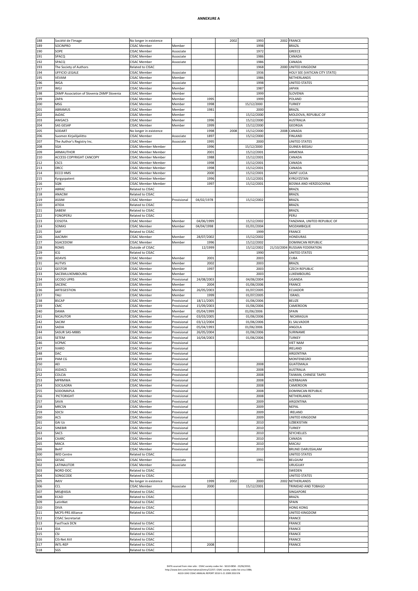| 188 |                                            | No longer in existence     |             |            | 2002 | 1993       |            | 2002 FRANCE                   |
|-----|--------------------------------------------|----------------------------|-------------|------------|------|------------|------------|-------------------------------|
|     | Société de l'Image                         |                            |             |            |      |            |            |                               |
| 189 | SOCINPRO                                   | <b>CISAC Member</b>        | Member      |            |      | 1998       |            | <b>BRAZIL</b>                 |
| 190 | SOPE                                       | <b>CISAC Member</b>        | Associate   |            |      | 1972       |            | GREECE                        |
| 191 | SPACQ                                      | <b>CISAC Member</b>        | Associate   |            |      | 1986       |            | CANADA                        |
| 192 | SPACQ                                      | <b>CISAC Member</b>        | Associate   |            |      | 1986       |            | CANADA                        |
| 193 | The Society of Authors                     | Related to CISAC           |             |            |      | 1968       |            | 2000 UNITED KINGDOM           |
| 194 | UFFICIO LEGALE                             |                            |             |            |      | 1936       |            | HOLY SEE (VATICAN CITY STATE) |
|     |                                            | <b>CISAC Member</b>        | Associate   |            |      |            |            |                               |
| 195 | VEVAM                                      | <b>CISAC Member</b>        | Member      |            |      | 1986       |            | NETHERLANDS                   |
| 196 | WGA                                        | <b>CISAC Member</b>        | Associate   |            |      | 1998       |            | <b>UNITED STATES</b>          |
| 197 | WGJ                                        | <b>CISAC Member</b>        | Member      |            |      | 1987       |            | <b>JAPAN</b>                  |
| 198 | ZAMP Association of Slovenia ZAMP Slovenia | <b>CISAC Member</b>        | Member      |            |      | 1999       |            | SLOVENIA                      |
| 199 | ZAPA                                       | <b>CISAC Member</b>        | Member      | 1995       |      | 1999       |            | POLAND                        |
| 200 | MSG                                        | <b>CISAC Member</b>        | Member      | 1998       |      | 15/12/2000 |            | <b>TURKEY</b>                 |
|     |                                            |                            |             |            |      |            |            |                               |
| 201 | ABRAMUS                                    | <b>CISAC Member</b>        | Member      | 1981       |      | 2000       |            | <b>BRAZIL</b>                 |
| 202 | AsDAC                                      | <b>CISAC Member</b>        | Member      |            |      | 15/12/2000 |            | MOLDOVA, REPUBLIC OF          |
| 203 | AWGACS                                     | <b>CISAC Member</b>        | Member      | 1996       |      | 15/12/2000 |            | <b>AUSTRALIA</b>              |
| 204 | <b>SAS GESAP</b>                           | <b>CISAC Member</b>        | Member      | 1999       |      | 15/12/2000 |            | <b>GEORGIA</b>                |
| 205 | SODART                                     | No longer in existence     |             | 1998       | 2008 | 15/12/2000 |            | 2008 CANADA                   |
| 206 | Suomen Kirjailijaliitto                    | <b>CISAC Member</b>        | Associate   | 1897       |      | 15/12/2000 |            | <b>FINLAND</b>                |
|     |                                            |                            |             |            |      |            |            |                               |
| 207 | The Author's Registry Inc.                 | <b>CISAC Member</b>        | Associate   | 1995       |      | 2000       |            | <b>UNITED STATES</b>          |
| 208 | SGA                                        | <b>CISAC Member Member</b> |             | 1996       |      | 15/12/2000 |            | GUINEA-BISSAU                 |
| 209 | ARMAUTHOR                                  | <b>CISAC Member Member</b> |             | 2001       |      | 15/12/2001 |            | ARMENIA                       |
| 210 | <b>ACCESS COPYRIGHT CANCOPY</b>            | <b>CISAC Member Member</b> |             | 1988       |      | 15/12/2001 |            | CANADA                        |
| 212 | CSCS                                       | <b>CISAC Member Member</b> |             | 1998       |      | 15/12/2001 |            | CANADA                        |
| 213 | DRCC                                       | <b>CISAC Member Member</b> |             | 1998       |      | 15/12/2001 |            | CANADA                        |
| 214 | ECCO HMS                                   | <b>CISAC Member Member</b> |             | 2000       |      | 15/12/2001 |            | <b>SAINT LUCIA</b>            |
|     |                                            |                            |             |            |      |            |            |                               |
| 215 | Kyrgyzpatent                               | <b>CISAC Member Member</b> |             | 1996       |      | 15/12/2001 |            | KYRGYZSTAN                    |
| 216 | SQN                                        | <b>CISAC Member Member</b> |             | 1997       |      | 15/12/2001 |            | BOSNIA AND HERZEGOVINA        |
| 217 | ABRAC                                      | Related to CISAC           |             |            |      |            |            | <b>BRAZIL</b>                 |
| 218 | ANACIM                                     | Related to CISAC           |             |            |      |            |            | <b>BRAZIL</b>                 |
| 219 | ASSIM                                      | <b>CISAC Member</b>        | Provisional | 04/02/1978 |      | 15/12/2002 |            | <b>BRAZIL</b>                 |
|     |                                            |                            |             |            |      |            |            |                               |
| 220 | ATIDA                                      | Related to CISAC           |             |            |      |            |            | <b>BRAZIL</b>                 |
| 221 | SABEM                                      | Related to CISAC           |             |            |      |            |            | <b>BRAZIL</b>                 |
| 222 | FONOPERU                                   | Related to CISAC           |             |            |      |            |            | PERU                          |
| 223 | COSOTA                                     | <b>CISAC Member</b>        | Member      | 04/06/1999 |      | 15/12/2002 |            | TANZANIA, UNITED REPUBLIC OF  |
| 224 | SOMAS                                      | <b>CISAC Member</b>        | Member      | 04/04/1998 |      | 01/01/2004 |            | MOZAMBIQUE                    |
| 225 | SAIF                                       | Related to CISAC           |             |            |      | 1999       |            | FRANCE                        |
|     | AACIMH                                     | <b>CISAC Member</b>        |             | 28/07/2002 |      |            |            | <b>HONDURAS</b>               |
| 226 |                                            |                            | Member      |            |      | 15/12/2002 |            |                               |
| 227 | SGACEDOM                                   | <b>CISAC Member</b>        | Member      | 1996       |      | 15/12/2002 |            | DOMINICAN REPUBLIC            |
| 228 | ROMS                                       | Outside of CISAC           |             | 12/1999    |      | 15/12/2002 | 21/10/2004 | <b>RUSSIAN FEDERATION</b>     |
| 229 | ICG                                        | Related to CISAC           |             |            |      | 1990       |            | <b>UNITED STATES</b>          |
| 230 | <b>ADAVIS</b>                              | <b>CISAC Member</b>        | Member      | 2001       |      | 2003       |            | <b>CUBA</b>                   |
| 231 | AUTVIS                                     | <b>CISAC Member</b>        | Member      | 2002       |      | 2003       |            | <b>BRAZIL</b>                 |
| 232 |                                            |                            |             | 1997       |      | 2003       |            | <b>CZECH REPUBLIC</b>         |
|     | <b>GESTOR</b>                              | <b>CISAC Member</b>        | Member      |            |      |            |            |                               |
| 233 | SACEMLUXEMBOURG                            | <b>CISAC Member</b>        | Member      |            |      | 2003       |            | LUXEMBOURG                    |
| 234 | <b>UCOSO UPRS</b>                          | <b>CISAC Member</b>        | Provisional | 24/08/2003 |      | 04/06/2004 |            | UGANDA                        |
| 235 | SACENC                                     | <b>CISAC Member</b>        | Member      | 2004       |      | 01/06/2006 |            | FRANCE                        |
| 236 | ARTEGESTION                                | <b>CISAC Member</b>        | Member      | 26/05/2003 |      | 01/07/2005 |            | <b>ECUADOR</b>                |
| 237 | TALI                                       | <b>CISAC Member</b>        | Member      | 1999       |      | 01/07/2005 |            | <b>ISRAEL</b>                 |
|     | <b>BSCAP</b>                               |                            |             |            |      |            |            |                               |
| 238 |                                            | <b>CISAC Member</b>        | Provisional | 18/11/2005 |      | 01/06/2006 |            | <b>BELIZE</b>                 |
| 239 | CMC                                        | <b>CISAC Member</b>        | Provisional | 15/09/2003 |      | 01/06/2006 |            | CAMEROON                      |
| 240 | DAMA                                       | <b>CISAC Member</b>        | Member      | 05/04/1999 |      | 01/06/2006 |            | SPAIN                         |
| 241 | NICAUTOR                                   | <b>CISAC Member</b>        | Provisional | 03/03/2005 |      | 01/06/2006 |            | NICARAGUA                     |
| 242 | SACIM                                      | <b>CISAC Member</b>        | Provisional | 03/12/2004 |      | 01/06/2006 |            | EL SALVADOR                   |
| 243 | SADIA                                      | <b>CISAC Member</b>        | Provisional | 05/04/1993 |      | 01/06/2006 |            | ANGOLA                        |
| 244 | SASUR SAS-MBBS                             | <b>CISAC Member</b>        | Provisional | 26/05/2004 |      | 01/06/2006 |            | SURINAME                      |
| 245 | SETEM                                      |                            |             | 16/04/2003 |      |            |            | <b>TURKEY</b>                 |
|     |                                            | <b>CISAC Member</b>        | Provisional |            |      | 01/06/2006 |            |                               |
| 246 | VCPMC                                      | <b>CISAC Member</b>        | Provisional |            |      |            |            | <b>VIET NAM</b>               |
| 247 | <b>IVARO</b>                               | <b>CISAC Member</b>        | Provisional |            |      |            |            | <b>IRELAND</b>                |
| 248 | DAC                                        | <b>CISAC Member</b>        | Provisional |            |      |            |            | ARGENTINA                     |
| 249 | PAM CG                                     | <b>CISAC Member</b>        | Provisional |            |      |            |            | MONTENEGRO                    |
| 250 | AEI                                        | <b>CISAC Member</b>        | Provisional |            |      | 2008       |            | <b>GUATEMALA</b>              |
|     |                                            |                            | Provisional |            |      |            |            | <b>AUSTRALIA</b>              |
| 251 | ASDACS                                     | <b>CISAC Member</b>        |             |            |      | 2008       |            |                               |
| 252 | COLCIA                                     | <b>CISAC Member</b>        | Provisional |            |      | 2008       |            | TAIWAN, CHINESE TAIPEI        |
| 253 | MPRMWA                                     | <b>CISAC Member</b>        | Provisional |            |      | 2008       |            | AZERBAIJAN                    |
| 254 | SOCILADRA                                  | <b>CISAC Member</b>        | Provisional |            |      | 2008       |            | CAMEROON                      |
| 255 | SODOMAPLA                                  | <b>CISAC Member</b>        | Provisional |            |      | 2008       |            | <b>DOMINICAN REPUBLIC</b>     |
| 256 | PICTORIGHT                                 | <b>CISAC Member</b>        | Provisional |            |      | 2008       |            | NETHERLANDS                   |
| 257 | SAVA                                       | <b>CISAC Member</b>        | Provisional |            |      | 2009       |            | ARGENTINA                     |
|     |                                            |                            |             |            |      |            |            |                               |
| 258 | <b>MRCSN</b>                               | <b>CISAC Member</b>        | Provisional |            |      | 2009       |            | NEPAL                         |
| 259 | SDCSI                                      | <b>CISAC Member</b>        | Provisional |            |      | 2009       |            | <b>IRELAND</b>                |
| 260 | ACS                                        | <b>CISAC Member</b>        | Provisional |            |      | 2009       |            | UNITED KINGDOM                |
| 261 | GAI Uz                                     | <b>CISAC Member</b>        | Provisional |            |      | 2010       |            | <b>UZBEKISTAN</b>             |
| 262 | SINEBIR                                    | <b>CISAC Member</b>        | Provisional |            |      | 2010       |            | <b>TURKEY</b>                 |
| 263 | SACS                                       | <b>CISAC Member</b>        | Provisional |            |      | 2010       |            | SEYCHELLES                    |
|     |                                            |                            |             |            |      |            |            |                               |
| 264 | CAARC                                      | <b>CISAC Member</b>        | Provisional |            |      | 2010       |            | CANADA                        |
| 265 | MACA                                       | <b>CISAC Member</b>        | Provisional |            |      | 2010       |            | MACAU                         |
| 266 | BeAT                                       | <b>CISAC Member</b>        | Provisional |            |      | 2010       |            | BRUNEI DARUSSALAM             |
| 300 | <b>WID Centre</b>                          | Related to CISAC           |             |            |      |            |            | UNITED STATES                 |
| 301 | <b>GESAC</b>                               | <b>CISAC Member</b>        | Associate   |            |      | 1991       |            | <b>BELGIUM</b>                |
| 302 | LATINAUTOR                                 | <b>CISAC Member</b>        | Associate   |            |      |            |            | <b>URUGUAY</b>                |
|     | NORD-DOC                                   |                            |             |            |      |            |            | SWEDEN                        |
| 303 |                                            | Related to CISAC           |             |            |      |            |            |                               |
| 304 | SONGCODE                                   | Related to CISAC           |             |            |      |            |            | <b>UNITED STATES</b>          |
| 305 | <b>IMJV</b>                                | No longer in existence     |             | 1999       | 2002 | 2000       |            | 2002 NETHERLANDS              |
| 306 | CCL                                        | <b>CISAC Member</b>        | Associate   | 2000       |      | 15/12/2001 |            | TRINIDAD AND TOBAGO           |
| 307 | MIS@ASIA                                   | Related to CISAC           |             |            |      |            |            | SINGAPORE                     |
| 308 | ECAD                                       | Related to CISAC           |             |            |      |            |            | <b>BRAZIL</b>                 |
|     |                                            |                            |             |            |      |            |            | SPAIN                         |
| 309 | LatinNet                                   | Related to CISAC           |             |            |      |            |            |                               |
| 310 | <b>DIVA</b>                                | Related to CISAC           |             |            |      |            |            | <b>HONG KONG</b>              |
| 311 | MCPS-PRS Alliance                          | Related to CISAC           |             |            |      |            |            | UNITED KINGDOM                |
| 312 | <b>CISAC Secretariat</b>                   |                            |             |            |      |            |            | <b>FRANCE</b>                 |
| 313 | FastTrack DCN                              | Related to CISAC           |             |            |      |            |            | FRANCE                        |
| 314 | IDA                                        | Related to CISAC           |             |            |      |            |            | <b>FRANCE</b>                 |
|     |                                            |                            |             |            |      |            |            |                               |
| 315 | CSI                                        | Related to CISAC           |             |            |      |            |            | FRANCE                        |
| 316 | CIS-Net AVI                                | Related to CISAC           |             |            |      |            |            | <b>FRANCE</b>                 |
| 317 | INTL-REP                                   | Related to CISAC           |             | 2008       |      |            |            | FRANCE                        |
|     |                                            |                            |             |            |      |            |            |                               |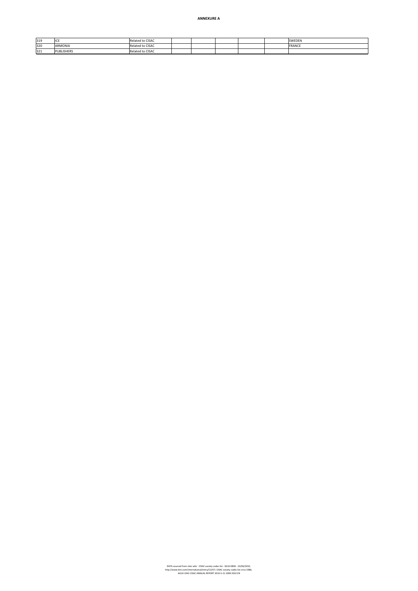| 319 | <b>IICE</b>       | Related to CISAC |  |  | <b>SWEDEN</b> |
|-----|-------------------|------------------|--|--|---------------|
| 320 | ARMONIA           | Related to CISAC |  |  | FRANCE        |
| 321 | <b>PUBLISHERS</b> | Related to CISAC |  |  |               |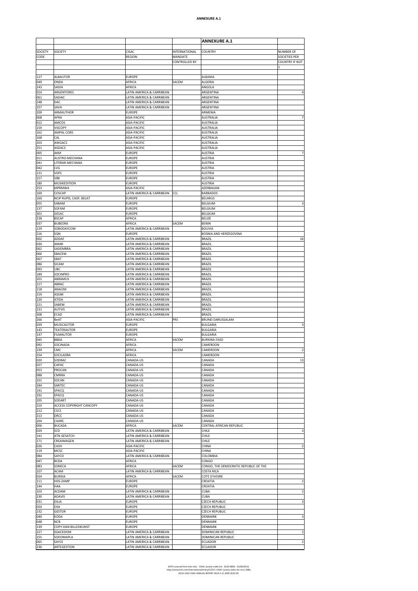|                 |                                    |                                                        |                          | <b>ANNEXURE A.1</b>                       |                                   |
|-----------------|------------------------------------|--------------------------------------------------------|--------------------------|-------------------------------------------|-----------------------------------|
|                 |                                    |                                                        |                          |                                           |                                   |
| SOCIETY<br>CODE | SOCIETY                            | <b>CISAC</b><br>REGION                                 | INTERNATIONAL<br>MANDATE | COUNTRY                                   | <b>NUMBER OF</b><br>SOCIETIES PER |
|                 |                                    |                                                        | CONTROLLED BY            |                                           | <b>COUNTRY IF NOT</b>             |
|                 |                                    |                                                        |                          |                                           |                                   |
| 127             | ALBAUTOR                           | <b>EUROPE</b>                                          |                          | ALBANIA                                   |                                   |
| 049             | ONDA                               | AFRICA                                                 | SACEM                    | ALGERIA                                   |                                   |
| 243             | SADIA                              | AFRICA                                                 |                          | ANGOLA                                    |                                   |
| 014<br>061      | ARGENTORES<br>SADAIC               | LATIN AMERICA & CARRIBEAN<br>LATIN AMERICA & CARRIBEAN |                          | ARGENTINA<br>ARGENTINA                    |                                   |
| 248             | DAC                                | LATIN AMERICA & CARRIBEAN                              |                          | ARGENTINA                                 |                                   |
| 257             | SAVA                               | LATIN AMERICA & CARRIBEAN                              |                          | ARGENTINA                                 |                                   |
| 209<br>008      | ARMAUTHOR<br>APRA                  | EUROPE<br>ASIA-PACIFIC                                 |                          | ARMENIA<br>AUSTRALIA                      |                                   |
| 012             | AMCOS                              | <b>ASIA-PACIFIC</b>                                    |                          | AUSTRALIA                                 |                                   |
| 159             | VISCOPY                            | <b>ASIA-PACIFIC</b>                                    |                          | AUSTRALIA                                 |                                   |
| 162             | AMPAL CORS                         | ASIA-PACIFIC                                           |                          | AUSTRALIA                                 |                                   |
| 168<br>203      | CAL<br>AWGACS                      | ASIA-PACIFIC<br>ASIA-PACIFIC                           |                          | <b>AUSTRALIA</b><br>AUSTRALIA             |                                   |
| 251             | ASDACS                             | ASIA-PACIFIC                                           |                          | AUSTRALIA                                 |                                   |
| 005             | AKM                                | <b>EUROPE</b>                                          |                          | AUSTRIA                                   |                                   |
| 011<br>041      | AUSTRO-MECHANA<br>LITERAR-MECHANA  | EUROPE<br>EUROPE                                       |                          | AUSTRIA<br><b>AUSTRIA</b>                 |                                   |
| 042             | LVG                                | EUROPE                                                 |                          | AUSTRIA                                   |                                   |
| 121             | VDFS                               | EUROPE                                                 |                          | <b>AUSTRIA</b>                            |                                   |
| 157             | VBK                                | EUROPE<br>EUROPE                                       |                          | AUSTRIA                                   |                                   |
| 180<br>253      | MUSIKEDITION<br>MPRMWA             | ASIA-PACIFIC                                           |                          | AUSTRIA<br>AZERBAIJAN                     |                                   |
| 169             | COSCAP                             | LATIN AMERICA & CARRIBEAN                              | CCL                      | <b>BARBADOS</b>                           |                                   |
| 160             | NCIP RUPIS, CASP, BELAT            | EUROPE                                                 |                          | <b>BELARUS</b>                            |                                   |
| 055<br>137      | SABAM<br>SOFAM                     | <b>EUROPE</b><br>EUROPE                                |                          | BELGIUM<br>BELGIUM                        |                                   |
| 301             | GESAC                              | EUROPE                                                 |                          | BELGIUM                                   |                                   |
| 238             | <b>BSCAP</b>                       | AFRICA                                                 |                          | BELIZE                                    |                                   |
| 037<br>129      | <b>BUBEDRA</b><br>SOBODAYCOM       | AFRICA<br>LATIN AMERICA & CARRIBEAN                    | SACEM                    | <b>BENIN</b><br><b>BOLIVIA</b>            |                                   |
| 216             | <b>SQN</b>                         | <b>EUROPE</b>                                          |                          | BOSNIA AND HERZEGOVINA                    |                                   |
| 002             | ADDAF                              | LATIN AMERICA & CARRIBEAN                              |                          | <b>BRAZIL</b>                             | 16                                |
| 030             | AMAR                               | LATIN AMERICA & CARRIBEAN                              |                          | <b>BRAZIL</b>                             |                                   |
| 062<br>066      | SADEMBRA<br>SBACEM                 | LATIN AMERICA & CARRIBEAN<br>LATIN AMERICA & CARRIBEAN |                          | BRAZIL<br><b>BRAZIL</b>                   |                                   |
| 067             | SBAT                               | LATIN AMERICA & CARRIBEAN                              |                          | <b>BRAZIL</b>                             |                                   |
| 086             | <b>SICAM</b>                       | LATIN AMERICA & CARRIBEAN                              |                          | <b>BRAZIL</b>                             |                                   |
| 093<br>189      | UBC<br>SOCINPRO                    | LATIN AMERICA & CARRIBEAN<br>LATIN AMERICA & CARRIBEAN |                          | <b>BRAZIL</b><br><b>BRAZIL</b>            |                                   |
| 201             | ABRAMUS                            | LATIN AMERICA & CARRIBEAN                              |                          | <b>BRAZIL</b>                             |                                   |
| 217             | ABRAC                              | LATIN AMERICA & CARRIBEAN                              |                          | <b>BRAZIL</b>                             |                                   |
| 218             | ANACIM                             | LATIN AMERICA & CARRIBEAN                              |                          | <b>BRAZIL</b>                             |                                   |
| 219<br>220      | ASSIM<br>ATIDA                     | LATIN AMERICA & CARRIBEAN<br>LATIN AMERICA & CARRIBEAN |                          | <b>BRAZIL</b><br><b>BRAZIL</b>            |                                   |
| 221             | SABEM                              | LATIN AMERICA & CARRIBEAN                              |                          | <b>BRAZIL</b>                             |                                   |
| 231             | AUTVIS                             | LATIN AMERICA & CARRIBEAN                              |                          | <b>BRAZIL</b>                             |                                   |
| 308<br>266      | ECAD<br>BeAT                       | LATIN AMERICA & CARRIBEAN<br>ASIA-PACIFIC              | PRS                      | <b>BRAZIL</b><br><b>BRUNEI DARUSSALAM</b> |                                   |
| 039             | MUSICAUTOR                         | EUROPE                                                 |                          | <b>BULGARIA</b>                           |                                   |
| 143             | TEATERAUTOR                        | <b>EUROPE</b>                                          |                          | <b>BULGARIA</b>                           |                                   |
| 147<br>045      | <b>FILMAUTOR</b><br><b>BBDA</b>    | EUROPE<br>AFRICA                                       | SACEM                    | BULGARIA<br><b>BURKINA FASO</b>           |                                   |
| 092             | SOCINADA                           | AFRICA                                                 |                          | CAMEROON                                  |                                   |
| 239             | CMC                                | AFRICA                                                 | SACEM                    | CAMEROON                                  |                                   |
| 254             | SOCILADRA                          | AFRICA                                                 |                          | CAMEROON                                  |                                   |
| 020<br>027      | SODRAC<br>CAPAC                    | CANADA-US<br>CANADA-US                                 |                          | CANADA<br>CANADA                          | 13                                |
| 053             | PROCAN                             | CANADA-US                                              |                          | CANADA                                    |                                   |
| 088             | CMRRA                              | CANADA-US                                              |                          | CANADA                                    |                                   |
| 101<br>184      | SOCAN<br>SARTEC                    | CANADA-US<br>CANADA-US                                 |                          | CANADA<br>CANADA                          |                                   |
| 191             | SPACQ                              | CANADA-US                                              |                          | CANADA                                    |                                   |
| 192             | SPACQ                              | CANADA-US                                              |                          | CANADA                                    |                                   |
| 205             | SODART<br>ACCESS COPYRIGHT CANCOPY | CANADA-US                                              |                          | CANADA<br>CANADA                          |                                   |
| 210<br>212      | CSCS                               | CANADA-US<br>CANADA-US                                 |                          | CANADA                                    |                                   |
| 213             | DRCC                               | CANADA-US                                              |                          | CANADA                                    |                                   |
| 264             | CAARC                              | CANADA-US                                              |                          | CANADA                                    |                                   |
| 006<br>029      | <b>BUCADA</b><br>SCD               | AFRICA<br>LATIN AMERICA & CARRIBEAN                    | SACEM                    | CENTRAL AFRICAN REPUBLIC<br>CHILE         | 3                                 |
| 141             | ATN GESATCH                        | LATIN AMERICA & CARRIBEAN                              |                          | CHILE                                     |                                   |
| 171             | CREAIMAGEN                         | LATIN AMERICA & CARRIBEAN                              |                          | CHILE                                     |                                   |
| 026<br>119      | CASH<br>MCSC                       | ASIA-PACIFIC<br>ASIA-PACIFIC                           |                          | CHINA<br>CHINA                            |                                   |
| 084             | SAYCO                              | LATIN AMERICA & CARRIBEAN                              |                          | COLOMBIA                                  |                                   |
| 047             | <b>BCDA</b>                        | AFRICA                                                 |                          | CONGO                                     |                                   |
| 083             | SONECA                             | AFRICA                                                 | SACEM                    | CONGO, THE DEMOCRATIC REPUBLIC OF THE     |                                   |
| 107<br>024      | <b>ACAM</b><br><b>BURIDA</b>       | LATIN AMERICA & CARRIBEAN<br>AFRICA                    | SACEM                    | <b>COSTA RICA</b><br><b>COTE D'IVOIRE</b> |                                   |
| 111             | HDS-ZAMP                           | <b>EUROPE</b>                                          |                          | CROATIA                                   | $\mathcal{P}$                     |
| 144             | HAA                                | <b>EUROPE</b>                                          |                          | CROATIA                                   |                                   |
| 103             | ACDAM                              | LATIN AMERICA & CARRIBEAN                              |                          | <b>CUBA</b>                               |                                   |
| 230<br>031      | ADAVIS<br>DILIA                    | LATIN AMERICA & CARRIBEAN<br>EUROPE                    |                          | <b>CUBA</b><br><b>CZECH REPUBLIC</b>      | 3                                 |
| 050             | OSA                                | <b>EUROPE</b>                                          |                          | <b>CZECH REPUBLIC</b>                     |                                   |
| 232             | <b>GESTOR</b>                      | EUROPE                                                 |                          | CZECH REPUBLIC                            |                                   |
| 040<br>048      | KODA<br><b>NCB</b>                 | <b>EUROPE</b><br>EUROPE                                |                          | DENMARK<br>DENMARK                        |                                   |
| 139             | COPY-DAN BILLEDKUNST               | <b>EUROPE</b>                                          |                          | DENMARK                                   |                                   |
| 227             | SGACEDOM                           | LATIN AMERICA & CARRIBEAN                              |                          | DOMINICAN REPUBLIC                        | $\overline{\mathbf{2}}$           |
| 255             | SODOMAPLA                          | LATIN AMERICA & CARRIBEAN                              |                          | DOMINICAN REPUBLIC                        |                                   |
| 065<br>236      | SAYCE<br>ARTEGESTION               | LATIN AMERICA & CARRIBEAN<br>LATIN AMERICA & CARRIBEAN |                          | <b>ECUADOR</b><br>ECUADOR                 |                                   |
|                 |                                    |                                                        |                          |                                           |                                   |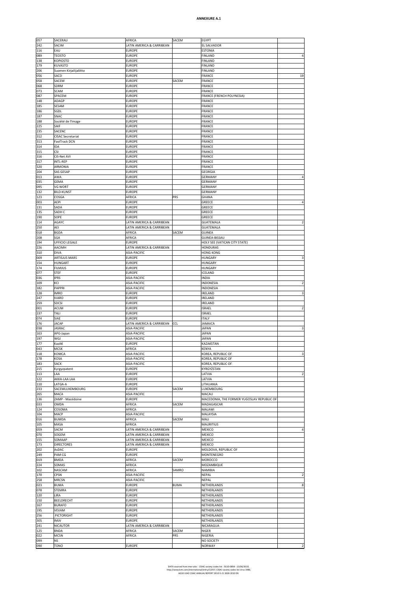| 057 | SACERAU                  | AFRICA                    | SACEM       | EGYPT                                      |             |
|-----|--------------------------|---------------------------|-------------|--------------------------------------------|-------------|
| 242 | SACIM                    | LATIN AMERICA & CARRIBEAN |             | EL SALVADOR                                |             |
| 116 | EAU                      | <b>EUROPE</b>             |             | ESTONIA                                    |             |
| 089 | <b>TEOSTO</b>            | <b>EUROPE</b>             |             | FINLAND                                    |             |
| 138 | <b>KOPIOSTO</b>          | <b>EUROPE</b>             |             | FINLAND                                    |             |
| 179 | KUVASTO                  | <b>EUROPE</b>             |             | FINLAND                                    |             |
|     |                          |                           |             |                                            |             |
| 206 | Suomen Kirjailijaliitto  | <b>EUROPE</b>             |             | FINLAND                                    |             |
| 056 | SACD                     | <b>EUROPE</b>             |             | FRANCE                                     | 19          |
| 058 | SACEM                    | <b>EUROPE</b>             | SACEM       | FRANCE                                     |             |
| 068 | SDRM                     | <b>EUROPE</b>             |             | FRANCE                                     |             |
| 073 | SCAM                     | <b>EUROPE</b>             |             | FRANCE                                     |             |
| 087 | SPACEM                   | <b>EUROPE</b>             |             | FRANCE (FRENCH POLYNESIA)                  |             |
| 148 | ADAGP                    | <b>EUROPE</b>             |             | FRANCE                                     |             |
| 185 | SESAM                    | <b>EUROPE</b>             |             | FRANCE                                     |             |
| 186 | SGDL                     | <b>EUROPE</b>             |             | FRANCE                                     |             |
| 187 | SNAC                     | <b>EUROPE</b>             |             | FRANCE                                     |             |
| 188 | Société de l'Image       | <b>EUROPE</b>             |             | FRANCE                                     |             |
| 225 | SAIF                     | <b>EUROPE</b>             |             | FRANCE                                     |             |
| 235 | SACENC                   | <b>EUROPE</b>             |             | FRANCE                                     |             |
| 312 | <b>CISAC Secretariat</b> | <b>EUROPE</b>             |             | FRANCE                                     |             |
| 313 | FastTrack DCN            | <b>EUROPE</b>             |             | FRANCE                                     |             |
| 314 | IDA                      | <b>EUROPE</b>             |             | FRANCE                                     |             |
| 315 | CSI                      |                           |             | FRANCE                                     |             |
|     |                          | <b>EUROPE</b>             |             |                                            |             |
| 316 | CIS-Net AVI              | <b>EUROPE</b>             |             | FRANCE                                     |             |
| 317 | INTL-REP                 | <b>EUROPE</b>             |             | FRANCE                                     |             |
| 320 | ARMONIA                  | <b>EUROPE</b>             |             | FRANCE                                     |             |
| 204 | SAS GESAP                | <b>EUROPE</b>             |             | GEORGIA                                    |             |
| 013 | AWA                      | <b>EUROPE</b>             |             | GERMANY                                    |             |
| 035 | GEMA                     | <b>EUROPE</b>             |             | GERMANY                                    |             |
| 095 | <b>VG WORT</b>           | <b>EUROPE</b>             |             | GERMANY                                    |             |
| 132 | <b>BILD-KUNST</b>        | <b>EUROPE</b>             |             | GERMANY                                    |             |
| 123 | COSGA                    | AFRICA                    | PRS         | GHANA                                      |             |
| 003 | AEPI                     | <b>EUROPE</b>             |             | GREECE                                     |             |
| 131 | SADA                     | EUROPE                    |             | GREECE                                     |             |
| 135 | SADH C                   | EUROPE                    |             | GREECE                                     |             |
| 190 | SOPE                     | <b>EUROPE</b>             |             | GREECE                                     |             |
| 114 | AGAYC                    | LATIN AMERICA & CARRIBEAN |             | <b>GUATEMALA</b>                           |             |
| 250 | AEI                      | LATIN AMERICA & CARRIBEAN |             | <b>GUATEMALA</b>                           |             |
| 018 | <b>BGDA</b>              | AFRICA                    | SACEM       | GUINEA                                     |             |
|     |                          |                           |             |                                            |             |
| 208 | SGA                      | AFRICA                    |             | GUINEA-BISSAU                              |             |
| 194 | UFFICIO LEGALE           | <b>EUROPE</b>             |             | HOLY SEE (VATICAN CITY STATE)              |             |
| 226 | AACIMH                   | LATIN AMERICA & CARRIBEAN |             | <b>HONDURAS</b>                            |             |
| 310 | <b>DIVA</b>              | ASIA-PACIFIC              |             | <b>HONG KONG</b>                           |             |
| 009 | ARTISJUS MARS            | <b>EUROPE</b>             |             | HUNGARY                                    |             |
| 154 | <b>HUNGART</b>           | <b>EUROPE</b>             |             | HUNGARY                                    |             |
| 174 | <b>FILMJUS</b>           | <b>EUROPE</b>             |             | HUNGARY                                    |             |
| 077 | STEF                     | <b>EUROPE</b>             |             | ICELAND                                    |             |
| 036 | <b>IPRS</b>              | ASIA-PACIFIC              |             | INDIA                                      |             |
| 109 | KCI                      | ASIA-PACIFIC              |             | INDONESIA                                  |             |
| 182 | PAPPRI                   | ASIA-PACIFIC              |             | INDONESIA                                  |             |
| 128 | <b>IMRO</b>              | <b>EUROPE</b>             |             | IRELAND                                    |             |
| 247 | <b>IVARO</b>             | <b>EUROPE</b>             |             | IRELAND                                    |             |
| 259 | SDCSI                    | <b>EUROPE</b>             |             | IRELAND                                    |             |
| 001 | ACUM                     | <b>EUROPE</b>             |             | ISRAEL                                     |             |
|     |                          |                           |             |                                            |             |
| 237 | TALI                     | <b>EUROPE</b>             |             | ISRAEL                                     |             |
| 074 | SIAE                     | <b>EUROPE</b>             |             | <b>ITALY</b>                               |             |
| 176 | <b>JACAP</b>             | LATIN AMERICA & CARRIBEAN | CCL         | <b>JAMAICA</b>                             |             |
| 038 | <b>JASRAC</b>            | ASIA-PACIFIC              |             | <b>JAPAN</b>                               |             |
| 163 | APG-Japan                | <b>ASIA-PACIFIC</b>       |             | <b>JAPAN</b>                               |             |
| 197 | WGJ                      | <b>ASIA-PACIFIC</b>       |             | JAPAN                                      |             |
| 177 | KazAK                    | <b>EUROPE</b>             |             | KAZAKSTAN                                  |             |
| 043 | MCSK                     | AFRICA                    |             | KENYA                                      |             |
| 118 | KOMCA                    | ASIA-PACIFIC              |             | KOREA, REPUBLIC OF                         | 3           |
| 178 | KOSA                     | ASIA-PACIFIC              |             | KOREA, REPUBLIC OF                         |             |
| 183 | SACK                     | ASIA-PACIFIC              |             | KOREA, REPUBLIC OF                         |             |
| 215 | Kyrgyzpatent             | <b>EUROPE</b>             |             | KYRGYZSTAN                                 |             |
| 113 | LAA                      | <b>EUROPE</b>             |             | LATVIA                                     |             |
| 122 | AKKA-LAA LAA             | <b>EUROPE</b>             |             | LATVIA                                     |             |
| 110 | LATGA-A                  | <b>EUROPE</b>             |             | LITHUANIA                                  |             |
| 233 | SACEMLUXEMBOURG          | <b>EUROPE</b>             | SACEM       | LUXEMBOURG                                 |             |
| 265 | MACA                     | ASIA-PACIFIC              |             | MACAU                                      |             |
| 136 | ZAMP - Macédoine         | <b>EUROPE</b>             |             | MACEDONIA, THE FORMER YUGOSLAV REPUBLIC OF |             |
| 033 | OMDA                     | AFRICA                    | SACEM       | MADAGASCAR                                 |             |
| 124 | COSOMA                   | AFRICA                    |             | MALAWI                                     |             |
| 104 | MACP                     | ASIA-PACIFIC              |             | MALAYSIA                                   |             |
| 016 | <b>BUMDA</b>             | AFRICA                    | SACEM       | MALI                                       |             |
| 105 | MASA                     | AFRICA                    |             | <b>MAURITIUS</b>                           |             |
| 059 | SACM                     | LATIN AMERICA & CARRIBEAN |             | MEXICO                                     |             |
| 070 | SOGEM                    | LATIN AMERICA & CARRIBEAN |             | MEXICO                                     |             |
|     |                          |                           |             |                                            |             |
| 155 | SOMAAP                   | LATIN AMERICA & CARRIBEAN |             | MEXICO                                     |             |
| 173 | <b>DIRECTORES</b>        | LATIN AMERICA & CARRIBEAN |             | MEXICO                                     |             |
| 202 | AsDAC                    | <b>EUROPE</b>             |             | MOLDOVA, REPUBLIC OF                       |             |
| 249 | PAM CG                   | <b>EUROPE</b>             |             | MONTENEGRO                                 |             |
| 019 | <b>BMDA</b>              | AFRICA                    | SACEM       | MOROCCO                                    |             |
| 224 | SOMAS                    | AFRICA                    |             | MOZAMBIQUE                                 |             |
| 102 | NASCAM                   | AFRICA                    | SAMRO       | NAMIBIA                                    |             |
| 170 | CPSN                     | ASIA-PACIFIC              |             | NEPAL                                      |             |
| 258 | <b>MRCSN</b>             | <b>ASIA-PACIFIC</b>       |             | NEPAL                                      |             |
| 023 | <b>BUMA</b>              | <b>EUROPE</b>             | <b>BUMA</b> | NETHERLANDS                                | 8           |
| 078 | STEMRA                   | <b>EUROPE</b>             |             | NETHERLANDS                                |             |
| 120 | LIRA                     | <b>EUROPE</b>             |             | NETHERLANDS                                |             |
| 150 | BEELDRECHT               | <b>EUROPE</b>             |             | NETHERLANDS                                |             |
| 167 | <b>BURAFO</b>            | <b>EUROPE</b>             |             | NETHERLANDS                                |             |
| 195 | VEVAM                    | <b>EUROPE</b>             |             | NETHERLANDS                                |             |
| 256 | PICTORIGHT               | <b>EUROPE</b>             |             | NETHERLANDS                                |             |
| 305 | IMJV                     | <b>EUROPE</b>             |             | NETHERLANDS                                |             |
| 241 | NICAUTOR                 | LATIN AMERICA & CARRIBEAN |             | NICARAGUA                                  |             |
| 125 | <b>BNDA</b>              | AFRICA                    | SACEM       | NIGER                                      |             |
| 022 | <b>MCSN</b>              | AFRICA                    | PRS         | NIGERIA                                    |             |
| 099 | NS                       |                           |             | NO SOCIETY                                 |             |
| 090 | <b>TONO</b>              | <b>EUROPE</b>             |             | <b>NORWAY</b>                              | $\mathbf 2$ |

DATA sourced from *inter alia* : CISAC society codes list - SG10-0858 - 23/06/2010;<br>http://www.bmi.com/international/entry/C2257; CISAC society codes list circa 1986;<br>AG10-1042 CISAC ANNUAL REPORT 2010-5-21 2009 2010 EN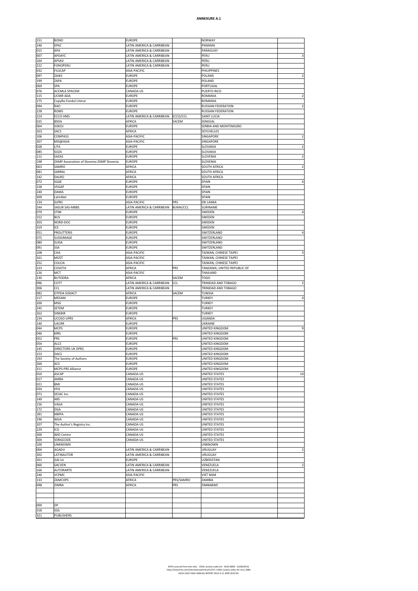| 151        | <b>BONO</b>                                | <b>EUROPE</b>                       |                 | <b>NORWAY</b>                                    |                |
|------------|--------------------------------------------|-------------------------------------|-----------------|--------------------------------------------------|----------------|
| 146        | SPAC                                       | LATIN AMERICA & CARRIBEAN           |                 | PANAMA                                           |                |
| 015        | APA                                        | LATIN AMERICA & CARRIBEAN           |                 | PARAGUAY                                         |                |
| 007        | APDAYC                                     | LATIN AMERICA & CARRIBEAN           |                 | PERU                                             |                |
| 164        | APSAV                                      | LATIN AMERICA & CARRIBEAN           |                 | PERU                                             |                |
| 222        | <b>FONOPERU</b>                            | LATIN AMERICA & CARRIBEAN           |                 | PERU                                             |                |
| 032        | <b>FILSCAP</b>                             | ASIA-PACIFIC<br><b>EUROPE</b>       |                 | PHILIPPINES                                      |                |
| 097<br>199 | ZAIKS<br>ZAPA                              | <b>EUROPE</b>                       |                 | POLAND<br>POLAND                                 |                |
| 069        | SPA                                        | <b>EUROPE</b>                       |                 | PORTUGAL                                         |                |
| 076        | ACEMLA SPACEM                              | CANADA-US                           |                 | PUERTO RICO                                      |                |
| 115        | UCMR-ADA                                   | <b>EUROPE</b>                       |                 | ROMANIA                                          |                |
| 175        | CopyRo Fondul Literar                      | <b>EUROPE</b>                       |                 | ROMANIA                                          |                |
| 094        | RAO                                        | <b>EUROPE</b>                       |                 | RUSSIAN FEDERATION                               |                |
| 228        | <b>ROMS</b>                                | <b>EUROPE</b>                       |                 | RUSSIAN FEDERATION                               |                |
| 214        | ECCO HMS                                   | LATIN AMERICA & CARRIBEAN           | ECCO/CCL        | SAINT LUCIA                                      |                |
| 025        | <b>BSDA</b>                                | AFRICA                              | SACEM           | SENEGAL                                          |                |
| 064        | SOKOJ                                      | <b>EUROPE</b>                       |                 | SERBIA AND MONTENEGRO                            |                |
| 263        | SACS                                       | AFRICA                              |                 | SEYCHELLES                                       |                |
| 106        | COMPASS                                    | <b>ASIA-PACIFIC</b>                 |                 | SINGAPORE                                        |                |
| 307        | MIS@ASIA                                   | ASIA-PACIFIC                        |                 | SINGAPORE                                        |                |
| 028        | LITA                                       | <b>EUROPE</b>                       |                 | SLOVAKIA                                         |                |
| 085        | SOZA                                       | <b>EUROPE</b>                       |                 | SLOVAKIA                                         |                |
| 112        | SAZAS                                      | <b>EUROPE</b>                       |                 | SLOVENIA                                         |                |
| 198        | ZAMP Association of Slovenia ZAMP Slovenia | <b>EUROPE</b>                       |                 | SLOVENIA                                         |                |
| 063        | SAMRO                                      | AFRICA                              |                 | SOUTH AFRICA                                     |                |
| 081        | SARRAI                                     | AFRICA                              |                 | SOUTH AFRICA                                     |                |
| 142        | DALRO                                      | AFRICA                              |                 | <b>SOUTH AFRICA</b>                              |                |
| 072        | SGAE                                       | <b>EUROPE</b>                       |                 | SPAIN                                            |                |
| 158        | VEGAP                                      | <b>EUROPE</b>                       |                 | SPAIN                                            |                |
| 240        | DAMA                                       | <b>EUROPE</b>                       |                 | SPAIN                                            |                |
| 309        | LatinNet                                   | <b>EUROPE</b>                       |                 | SPAIN                                            |                |
| 134        | <b>SLPRS</b>                               | ASIA-PACIFIC                        | PRS             | SRI LANKA                                        |                |
| 244        | <b>SASUR SAS-MBBS</b>                      | LATIN AMERICA & CARRIBEAN           | <b>BUMA/CCL</b> | SURINAME                                         |                |
| 079        | <b>STIM</b>                                | <b>EUROPE</b>                       |                 | SWEDEN                                           |                |
| 152        | <b>BUS</b>                                 | <b>EUROPE</b>                       |                 | SWEDEN                                           |                |
| 303        | NORD-DOC                                   | <b>EUROPE</b>                       |                 | SWEDEN                                           |                |
| 319        | ICE                                        | <b>EUROPE</b>                       |                 | SWEDEN                                           |                |
| 051        | <b>PROLITTERIS</b>                         | <b>EUROPE</b>                       |                 | SWITZERLAND                                      |                |
| 075        | SUISSIMAGE                                 | <b>EUROPE</b>                       |                 | SWITZERLAND                                      |                |
| 080        | SUISA                                      | <b>EUROPE</b>                       |                 | SWITZERLAND                                      |                |
| 091<br>108 | SSA<br>CHA                                 | <b>EUROPE</b>                       |                 | SWITZERLAND                                      |                |
| 161        | MÜST                                       | ASIA-PACIFIC<br><b>ASIA-PACIFIC</b> |                 | TAIWAN, CHINESE TAIPEI<br>TAIWAN, CHINESE TAIPEI |                |
| 252        | COLCIA                                     | ASIA-PACIFIC                        |                 | TAIWAN, CHINESE TAIPEI                           |                |
| 223        | COSOTA                                     | AFRICA                              | PRS             | TANZANIA, UNITED REPUBLIC OF                     |                |
| 126        | MCT                                        | ASIA-PACIFIC                        |                 | THAILAND                                         |                |
| 130        |                                            |                                     |                 |                                                  |                |
|            |                                            |                                     |                 |                                                  |                |
|            | <b>BUTODRA</b>                             | AFRICA                              | SACEM           | <b>TOGO</b>                                      |                |
| 096        | COTT<br>CCL                                | LATIN AMERICA & CARRIBEAN           | CCL             | TRINIDAD AND TOBAGO                              |                |
| 306        |                                            | LATIN AMERICA & CARRIBEAN           |                 | TRINIDAD AND TOBAGO                              |                |
| 082<br>117 | OTPDA SODACT<br>MESAM                      | AFRICA<br><b>EUROPE</b>             | SACEM           | <b>TUNISIA</b><br><b>TURKEY</b>                  |                |
| 200        | MSG                                        | <b>EUROPE</b>                       |                 | <b>TURKEY</b>                                    |                |
| 245        | SETEM                                      | <b>EUROPE</b>                       |                 | TURKEY                                           |                |
| 262        | SINEBIR                                    | <b>EUROPE</b>                       |                 | TURKEY                                           |                |
| 234        | UCOSO UPRS                                 | AFRICA                              | PRS             | UGANDA                                           |                |
| 140        | UACRR                                      | <b>EUROPE</b>                       |                 | UKRAINE                                          |                |
| 044        | <b>MCPS</b>                                | <b>EUROPE</b>                       |                 | UNITED KINGDOM                                   |                |
| 046        | <b>MRS</b>                                 | <b>EUROPE</b>                       |                 | UNITED KINGDOM                                   |                |
| 052        | PRS                                        | <b>EUROPE</b>                       | PRS             | JNITED KINGDOM                                   |                |
| 054        | ALCS                                       | <b>EUROPE</b>                       |                 | UNITED KINGDOM                                   |                |
| 145        | <b>DIRECTORS UK DPRS</b>                   | <b>EUROPE</b>                       |                 | UNITED KINGDOM                                   |                |
| 153        | DACS                                       | <b>FLIROPE</b>                      |                 | <b>I INITED KINGDOM</b>                          |                |
| 193        | The Society of Authors                     | <b>EUROPE</b>                       |                 | UNITED KINGDOM                                   |                |
| 260        | ACS                                        | <b>EUROPE</b>                       |                 | UNITED KINGDOM                                   |                |
| 311        | MCPS-PRS Alliance                          | <b>EUROPE</b>                       |                 | UNITED KINGDOM                                   |                |
| 010        | ASCAP                                      | CANADA-US                           |                 | <b>UNITED STATES</b>                             | 14             |
| 017        | AMRA                                       | CANADA-US                           |                 | <b>UNITED STATES</b>                             |                |
| 021        | <b>BMI</b>                                 | CANADA-US                           |                 | UNITED STATES                                    |                |
| 034        | <b>HFA</b>                                 | CANADA-US                           |                 | UNITED STATES                                    |                |
| 071        | SESAC Inc.                                 | CANADA-US                           |                 | UNITED STATES                                    |                |
| 149        | ARS                                        | CANADA-US                           |                 | <b>UNITED STATES</b>                             |                |
| 156<br>172 | VAGA<br>DGA                                | CANADA-US<br>CANADA-US              |                 | <b>UNITED STATES</b><br>UNITED STATES            |                |
| 181        | <b>NMPA</b>                                | CANADA-US                           |                 | UNITED STATES                                    |                |
| 196        | WGA                                        | CANADA-US                           |                 | UNITED STATES                                    |                |
| 207        | The Author's Registry Inc.                 | CANADA-US                           |                 | UNITED STATES                                    |                |
| 229        | ICG                                        | CANADA-US                           |                 | <b>UNITED STATES</b>                             |                |
| 300        | <b>WID Centre</b>                          | CANADA-US                           |                 | UNITED STATES                                    |                |
| 304        | SONGCODE                                   | CANADA-US                           |                 | UNITED STATES                                    |                |
| 100        | <b>UNKNOWN</b>                             |                                     |                 | UNKNOWN                                          |                |
| 004        | AGADU                                      | LATIN AMERICA & CARRIBEAN           |                 | URUGUAY                                          | $\overline{2}$ |
| 302        | LATINAUTOR                                 | LATIN AMERICA & CARRIBEAN           |                 | URUGUAY                                          |                |
| 261        | <b>GAI Uz</b>                              | <b>EUROPE</b>                       |                 | <b>UZBEKISTAN</b>                                |                |
| 060        | SACVEN                                     | LATIN AMERICA & CARRIBEAN           |                 | VENEZUELA                                        | $\mathcal{P}$  |
| 166        | AUTORARTE                                  | LATIN AMERICA & CARRIBEAN           |                 | VENEZUELA                                        |                |
| 246        | <b>VCPMC</b>                               | ASIA-PACIFIC                        |                 | <b>VIET NAM</b>                                  |                |
| 133        | ZAMCOPS                                    | AFRICA                              | PRS/SAMRO       | ZAMBIA                                           |                |
| 098        | ZIMRA                                      | AFRICA                              | PRS             | ZIMBABWE                                         |                |
|            |                                            |                                     |                 |                                                  |                |
|            |                                            |                                     |                 |                                                  |                |
|            |                                            |                                     |                 |                                                  |                |
| 000        | DP                                         |                                     |                 |                                                  |                |
| 318<br>321 | SGS<br>PUBLISHERS                          |                                     |                 |                                                  |                |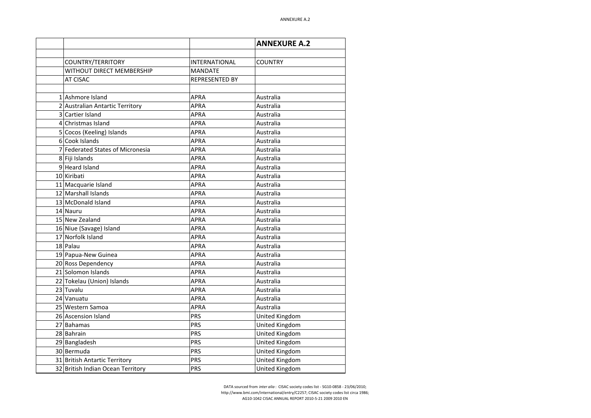|                                   |                      | <b>ANNEXURE A.2</b> |
|-----------------------------------|----------------------|---------------------|
|                                   |                      |                     |
| COUNTRY/TERRITORY                 | <b>INTERNATIONAL</b> | COUNTRY             |
| WITHOUT DIRECT MEMBERSHIP         | <b>MANDATE</b>       |                     |
| AT CISAC                          | REPRESENTED BY       |                     |
|                                   |                      |                     |
| 1 Ashmore Island                  | APRA                 | Australia           |
| 2 Australian Antartic Territory   | <b>APRA</b>          | Australia           |
| 3 Cartier Island                  | APRA                 | Australia           |
| 4 Christmas Island                | <b>APRA</b>          | Australia           |
| 5 Cocos (Keeling) Islands         | <b>APRA</b>          | Australia           |
| 6 Cook Islands                    | <b>APRA</b>          | Australia           |
| 7 Federated States of Micronesia  | <b>APRA</b>          | Australia           |
| 8 Fiji Islands                    | <b>APRA</b>          | Australia           |
| 9 Heard Island                    | <b>APRA</b>          | Australia           |
| 10 Kiribati                       | <b>APRA</b>          | Australia           |
| 11 Macquarie Island               | <b>APRA</b>          | Australia           |
| 12 Marshall Islands               | <b>APRA</b>          | Australia           |
| 13 McDonald Island                | <b>APRA</b>          | Australia           |
| 14 Nauru                          | <b>APRA</b>          | Australia           |
| 15 New Zealand                    | <b>APRA</b>          | Australia           |
| 16 Niue (Savage) Island           | <b>APRA</b>          | Australia           |
| 17 Norfolk Island                 | <b>APRA</b>          | Australia           |
| 18 Palau                          | <b>APRA</b>          | Australia           |
| 19 Papua-New Guinea               | <b>APRA</b>          | Australia           |
| 20 Ross Dependency                | <b>APRA</b>          | Australia           |
| 21 Solomon Islands                | <b>APRA</b>          | Australia           |
| 22 Tokelau (Union) Islands        | APRA                 | Australia           |
| 23 Tuvalu                         | <b>APRA</b>          | Australia           |
| 24 Vanuatu                        | <b>APRA</b>          | Australia           |
| 25 Western Samoa                  | <b>APRA</b>          | Australia           |
| 26 Ascension Island               | <b>PRS</b>           | United Kingdom      |
| 27 Bahamas                        | <b>PRS</b>           | United Kingdom      |
| 28 Bahrain                        | <b>PRS</b>           | United Kingdom      |
| 29 Bangladesh                     | <b>PRS</b>           | United Kingdom      |
| 30 Bermuda                        | <b>PRS</b>           | United Kingdom      |
| 31 British Antartic Territory     | <b>PRS</b>           | United Kingdom      |
| 32 British Indian Ocean Territory | <b>PRS</b>           | United Kingdom      |

DATA sourced from *inter alia* : CISAC society codes list - SG10-0858 - 23/06/2010; http://www.bmi.com/international/entry/C2257; CISAC society codes list circa 1986; AG10-1042 CISAC ANNUAL REPORT 2010-5-21 2009 2010 EN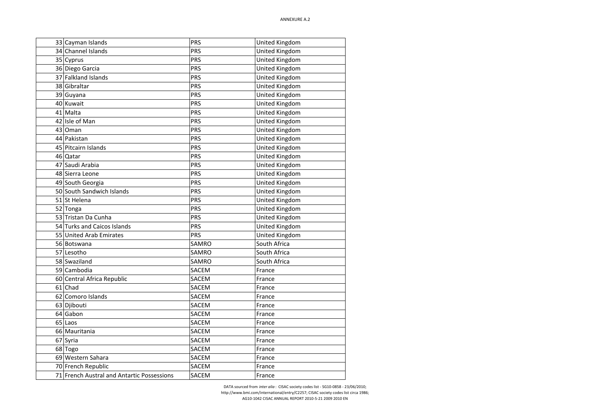|             | 33 Cayman Islands                          | PRS          | United Kingdom        |
|-------------|--------------------------------------------|--------------|-----------------------|
|             | 34 Channel Islands                         | PRS          | United Kingdom        |
| 35 Cyprus   |                                            | PRS          | United Kingdom        |
|             | 36 Diego Garcia                            | PRS          | United Kingdom        |
|             | 37 Falkland Islands                        | PRS          | United Kingdom        |
|             | 38 Gibraltar                               | PRS          | United Kingdom        |
| 39 Guyana   |                                            | PRS          | United Kingdom        |
| 40 Kuwait   |                                            | PRS          | United Kingdom        |
| 41 Malta    |                                            | PRS          | United Kingdom        |
|             | 42 Isle of Man                             | PRS          | United Kingdom        |
| 43 Oman     |                                            | PRS          | United Kingdom        |
| 44 Pakistan |                                            | PRS          | United Kingdom        |
|             | 45 Pitcairn Islands                        | <b>PRS</b>   | United Kingdom        |
| 46 Qatar    |                                            | <b>PRS</b>   | United Kingdom        |
|             | 47 Saudi Arabia                            | <b>PRS</b>   | United Kingdom        |
|             | 48 Sierra Leone                            | PRS          | United Kingdom        |
|             | 49 South Georgia                           | <b>PRS</b>   | United Kingdom        |
|             | 50 South Sandwich Islands                  | PRS          | <b>United Kingdom</b> |
|             | 51 St Helena                               | PRS          | <b>United Kingdom</b> |
| 52 Tonga    |                                            | PRS          | United Kingdom        |
|             | 53 Tristan Da Cunha                        | PRS          | United Kingdom        |
|             | 54 Turks and Caicos Islands                | PRS          | United Kingdom        |
|             | 55 United Arab Emirates                    | PRS          | United Kingdom        |
|             | 56 Botswana                                | SAMRO        | South Africa          |
| 57 Lesotho  |                                            | SAMRO        | South Africa          |
|             | 58 Swaziland                               | SAMRO        | South Africa          |
|             | 59 Cambodia                                | SACEM        | France                |
|             | 60 Central Africa Republic                 | SACEM        | France                |
| 61 Chad     |                                            | SACEM        | France                |
|             | 62 Comoro Islands                          | SACEM        | France                |
| 63 Djibouti |                                            | SACEM        | France                |
| 64 Gabon    |                                            | SACEM        | France                |
| 65 Laos     |                                            | SACEM        | France                |
|             | 66 Mauritania                              | <b>SACEM</b> | France                |
| 67 Syria    |                                            | SACEM        | France                |
| 68 Togo     |                                            | SACEM        | France                |
|             | 69 Western Sahara                          | SACEM        | France                |
|             | 70 French Republic                         | SACEM        | France                |
|             | 71 French Austral and Antartic Possessions | SACEM        | France                |

DATA sourced from *inter alia* : CISAC society codes list - SG10-0858 - 23/06/2010; http://www.bmi.com/international/entry/C2257; CISAC society codes list circa 1986; AG10-1042 CISAC ANNUAL REPORT 2010-5-21 2009 2010 EN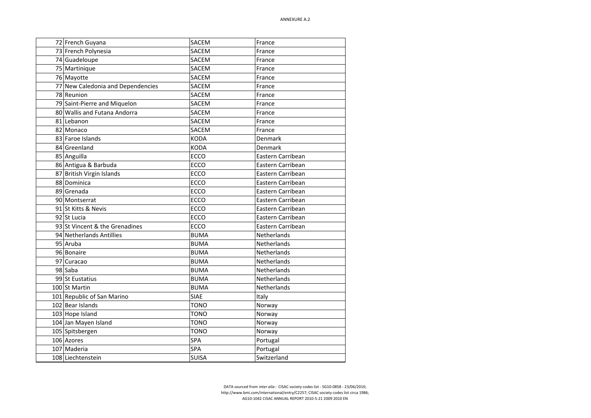| 72 French Guyana                  | <b>SACEM</b> | France             |
|-----------------------------------|--------------|--------------------|
| 73 French Polynesia               | <b>SACEM</b> | France             |
| 74 Guadeloupe                     | SACEM        | France             |
| 75 Martinique                     | SACEM        | France             |
| 76 Mayotte                        | SACEM        | France             |
| 77 New Caledonia and Dependencies | <b>SACEM</b> | France             |
| 78 Reunion                        | SACEM        | France             |
| 79 Saint-Pierre and Miquelon      | SACEM        | France             |
| 80 Wallis and Futana Andorra      | SACEM        | France             |
| 81 Lebanon                        | SACEM        | France             |
| 82 Monaco                         | SACEM        | France             |
| 83 Faroe Islands                  | <b>KODA</b>  | Denmark            |
| 84 Greenland                      | KODA         | Denmark            |
| 85 Anguilla                       | ECCO         | Eastern Carribean  |
| 86 Antigua & Barbuda              | <b>ECCO</b>  | Eastern Carribean  |
| 87 British Virgin Islands         | ECCO         | Eastern Carribean  |
| 88 Dominica                       | <b>ECCO</b>  | Eastern Carribean  |
| 89 Grenada                        | ECCO         | Eastern Carribean  |
| 90 Montserrat                     | ECCO         | Eastern Carribean  |
| 91 St Kitts & Nevis               | <b>ECCO</b>  | Eastern Carribean  |
| 92 St Lucia                       | ECCO         | Eastern Carribean  |
| 93 St Vincent & the Grenadines    | ECCO         | Eastern Carribean  |
| 94 Netherlands Antillies          | <b>BUMA</b>  | <b>Netherlands</b> |
| 95 Aruba                          | <b>BUMA</b>  | <b>Netherlands</b> |
| 96 Bonaire                        | <b>BUMA</b>  | <b>Netherlands</b> |
| 97 Curacao                        | <b>BUMA</b>  | <b>Netherlands</b> |
| 98 Saba                           | <b>BUMA</b>  | <b>Netherlands</b> |
| 99 St Eustatius                   | <b>BUMA</b>  | <b>Netherlands</b> |
| 100 St Martin                     | <b>BUMA</b>  | <b>Netherlands</b> |
| 101 Republic of San Marino        | <b>SIAE</b>  | Italy              |
| 102 Bear Islands                  | TONO         | Norway             |
| 103 Hope Island                   | TONO         | Norway             |
| 104 Jan Mayen Island              | TONO         | Norway             |
| 105 Spitsbergen                   | TONO         | Norway             |
| 106 Azores                        | SPA          | Portugal           |
| 107 Maderia                       | SPA          | Portugal           |
| 108 Liechtenstein                 | <b>SUISA</b> | Switzerland        |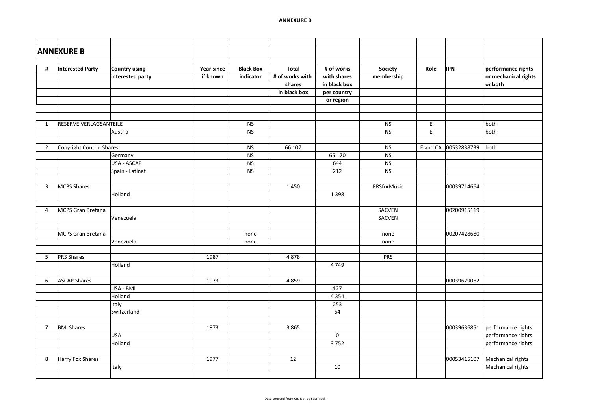|                | <b>ANNEXURE B</b>        |                      |                   |                  |                 |              |             |           |                      |                      |
|----------------|--------------------------|----------------------|-------------------|------------------|-----------------|--------------|-------------|-----------|----------------------|----------------------|
|                |                          |                      |                   |                  |                 |              |             |           |                      |                      |
| #              | <b>Interested Party</b>  | <b>Country using</b> | <b>Year since</b> | <b>Black Box</b> | <b>Total</b>    | # of works   | Society     | Role      | <b>IPN</b>           | performance rights   |
|                |                          | interested party     | if known          | indicator        | # of works with | with shares  | membership  |           |                      | or mechanical rights |
|                |                          |                      |                   |                  | shares          | in black box |             |           |                      | or both              |
|                |                          |                      |                   |                  | in black box    | per country  |             |           |                      |                      |
|                |                          |                      |                   |                  |                 | or region    |             |           |                      |                      |
|                |                          |                      |                   |                  |                 |              |             |           |                      |                      |
|                |                          |                      |                   |                  |                 |              |             |           |                      |                      |
| 1              | RESERVE VERLAGSANTEILE   |                      |                   | <b>NS</b>        |                 |              | <b>NS</b>   | ${\sf E}$ |                      | both                 |
|                |                          | Austria              |                   | <b>NS</b>        |                 |              | <b>NS</b>   | E         |                      | both                 |
|                |                          |                      |                   |                  |                 |              |             |           |                      |                      |
| $\overline{2}$ | Copyright Control Shares |                      |                   | <b>NS</b>        | 66 107          |              | <b>NS</b>   |           | E and CA 00532838739 | both                 |
|                |                          | Germany              |                   | <b>NS</b>        |                 | 65 170       | <b>NS</b>   |           |                      |                      |
|                |                          | USA - ASCAP          |                   | <b>NS</b>        |                 | 644          | <b>NS</b>   |           |                      |                      |
|                |                          | Spain - Latinet      |                   | <b>NS</b>        |                 | 212          | <b>NS</b>   |           |                      |                      |
|                |                          |                      |                   |                  |                 |              |             |           |                      |                      |
| $\overline{3}$ | <b>MCPS Shares</b>       |                      |                   |                  | 1450            |              | PRSforMusic |           | 00039714664          |                      |
|                |                          | Holland              |                   |                  |                 | 1398         |             |           |                      |                      |
|                |                          |                      |                   |                  |                 |              |             |           |                      |                      |
| 4              | MCPS Gran Bretana        |                      |                   |                  |                 |              | SACVEN      |           | 00200915119          |                      |
|                |                          | Venezuela            |                   |                  |                 |              | SACVEN      |           |                      |                      |
|                |                          |                      |                   |                  |                 |              |             |           |                      |                      |
|                | <b>MCPS Gran Bretana</b> |                      |                   | none             |                 |              | none        |           | 00207428680          |                      |
|                |                          | Venezuela            |                   | none             |                 |              | none        |           |                      |                      |
|                |                          |                      |                   |                  |                 |              |             |           |                      |                      |
| 5              | <b>PRS Shares</b>        |                      | 1987              |                  | 4878            |              | PRS         |           |                      |                      |
|                |                          | Holland              |                   |                  |                 | 4749         |             |           |                      |                      |
| 6              | <b>ASCAP Shares</b>      |                      | 1973              |                  | 4859            |              |             |           | 00039629062          |                      |
|                |                          | USA - BMI            |                   |                  |                 | 127          |             |           |                      |                      |
|                |                          | Holland              |                   |                  |                 | 4354         |             |           |                      |                      |
|                |                          | Italy                |                   |                  |                 | 253          |             |           |                      |                      |
|                |                          | Switzerland          |                   |                  |                 | 64           |             |           |                      |                      |
|                |                          |                      |                   |                  |                 |              |             |           |                      |                      |
| $\overline{7}$ | <b>BMI Shares</b>        |                      | 1973              |                  | 3865            |              |             |           | 00039636851          | performance rights   |
|                |                          | <b>USA</b>           |                   |                  |                 | $\mathbf 0$  |             |           |                      | performance rights   |
|                |                          | Holland              |                   |                  |                 | 3752         |             |           |                      | performance rights   |
|                |                          |                      |                   |                  |                 |              |             |           |                      |                      |
| 8              | Harry Fox Shares         |                      | 1977              |                  | 12              |              |             |           | 00053415107          | Mechanical rights    |
|                |                          | Italy                |                   |                  |                 | 10           |             |           |                      | Mechanical rights    |
|                |                          |                      |                   |                  |                 |              |             |           |                      |                      |
|                |                          |                      |                   |                  |                 |              |             |           |                      |                      |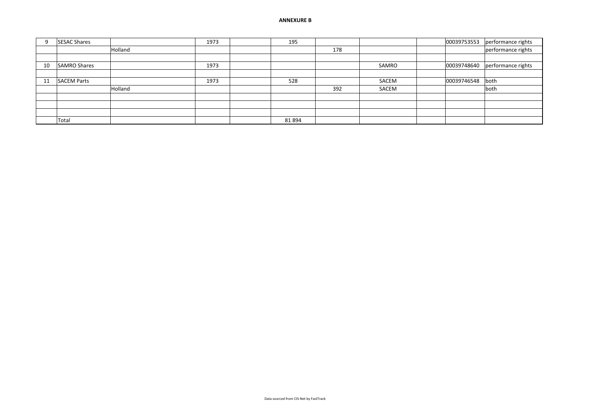#### **ANNEXURE B**

| 9  | <b>SESAC Shares</b> |         | 1973 | 195   |     |       |                  | 00039753553 performance rights |
|----|---------------------|---------|------|-------|-----|-------|------------------|--------------------------------|
|    |                     | Holland |      |       | 178 |       |                  | performance rights             |
|    |                     |         |      |       |     |       |                  |                                |
| 10 | <b>SAMRO Shares</b> |         | 1973 |       |     | SAMRO |                  | 00039748640 performance rights |
|    |                     |         |      |       |     |       |                  |                                |
| 11 | <b>SACEM Parts</b>  |         | 1973 | 528   |     | SACEM | 00039746548 both |                                |
|    |                     | Holland |      |       | 392 | SACEM |                  | both                           |
|    |                     |         |      |       |     |       |                  |                                |
|    |                     |         |      |       |     |       |                  |                                |
|    |                     |         |      |       |     |       |                  |                                |
|    | Total               |         |      | 81894 |     |       |                  |                                |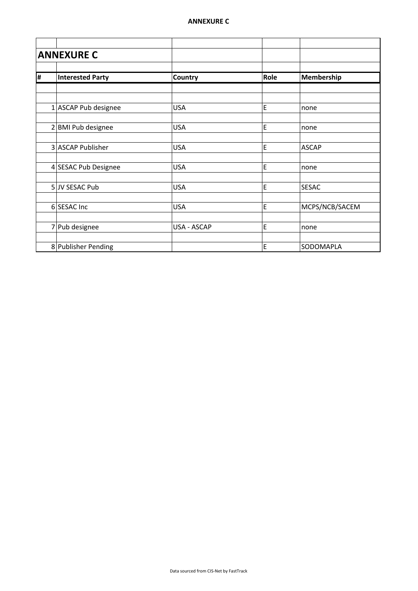|    | <b>ANNEXURE C</b>       |                    |      |                |
|----|-------------------------|--------------------|------|----------------|
|    |                         |                    |      |                |
| Ħ, | <b>Interested Party</b> | Country            | Role | Membership     |
|    |                         |                    |      |                |
|    |                         |                    |      |                |
|    | 1 ASCAP Pub designee    | <b>USA</b>         | E    | none           |
|    |                         |                    |      |                |
|    | 2 BMI Pub designee      | <b>USA</b>         | E    | none           |
|    |                         |                    |      |                |
|    | 3 ASCAP Publisher       | <b>USA</b>         | E    | <b>ASCAP</b>   |
|    |                         |                    |      |                |
|    | 4 SESAC Pub Designee    | <b>USA</b>         | E    | none           |
|    |                         |                    |      |                |
|    | 5 JV SESAC Pub          | <b>USA</b>         | E    | <b>SESAC</b>   |
|    |                         |                    |      |                |
|    | 6 SESAC Inc             | <b>USA</b>         | E    | MCPS/NCB/SACEM |
|    |                         |                    |      |                |
|    | 7 Pub designee          | <b>USA - ASCAP</b> | E    | none           |
|    |                         |                    |      |                |
|    | 8 Publisher Pending     |                    | E    | SODOMAPLA      |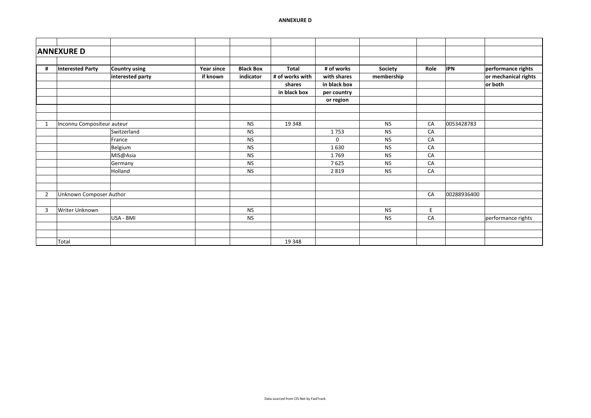|    | <b>ANNEXURE D</b>          |                      |            |                  |                 |              |            |      |             |                      |
|----|----------------------------|----------------------|------------|------------------|-----------------|--------------|------------|------|-------------|----------------------|
|    |                            |                      |            |                  |                 |              |            |      |             |                      |
| #  | <b>Interested Party</b>    | <b>Country using</b> | Year since | <b>Black Box</b> | <b>Total</b>    | # of works   | Society    | Role | <b>IPN</b>  | performance rights   |
|    |                            | interested party     | if known   | indicator        | # of works with | with shares  | membership |      |             | or mechanical rights |
|    |                            |                      |            |                  | shares          | in black box |            |      |             | or both              |
|    |                            |                      |            |                  | in black box    | per country  |            |      |             |                      |
|    |                            |                      |            |                  |                 | or region    |            |      |             |                      |
|    |                            |                      |            |                  |                 |              |            |      |             |                      |
| -1 | Inconnu Compositeur auteur |                      |            | <b>NS</b>        | 19 348          |              | <b>NS</b>  | CA   | 0053428783  |                      |
|    |                            | Switzerland          |            | <b>NS</b>        |                 | 1753         | <b>NS</b>  | CA   |             |                      |
|    |                            | France               |            | <b>NS</b>        |                 | $\mathbf 0$  | <b>NS</b>  | CA   |             |                      |
|    |                            | Belgium              |            | <b>NS</b>        |                 | 1630         | <b>NS</b>  | CA   |             |                      |
|    |                            | MIS@Asia             |            | <b>NS</b>        |                 | 1769         | <b>NS</b>  | CA   |             |                      |
|    |                            | Germany              |            | <b>NS</b>        |                 | 7625         | <b>NS</b>  | CA   |             |                      |
|    |                            | Holland              |            | <b>NS</b>        |                 | 2819         | <b>NS</b>  | CA   |             |                      |
|    |                            |                      |            |                  |                 |              |            |      |             |                      |
| 2  | Unknown Composer Author    |                      |            |                  |                 |              |            | CA   | 00288936400 |                      |
| 3  | Writer Unknown             |                      |            | <b>NS</b>        |                 |              | <b>NS</b>  | E    |             |                      |
|    |                            | USA - BMI            |            | <b>NS</b>        |                 |              | <b>NS</b>  | CA   |             | performance rights   |
|    |                            |                      |            |                  |                 |              |            |      |             |                      |
|    | Total                      |                      |            |                  | 19 348          |              |            |      |             |                      |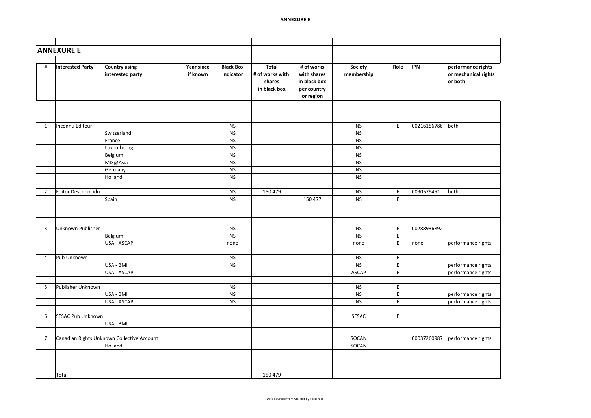|                | <b>ANNEXURE E</b>        |                                            |            |                  |                 |              |              |             |             |                      |
|----------------|--------------------------|--------------------------------------------|------------|------------------|-----------------|--------------|--------------|-------------|-------------|----------------------|
|                |                          |                                            |            |                  |                 |              |              |             |             |                      |
| #              | <b>Interested Party</b>  | <b>Country using</b>                       | Year since | <b>Black Box</b> | <b>Total</b>    | # of works   | Society      | Role        | <b>IPN</b>  | performance rights   |
|                |                          | interested party                           | if known   | indicator        | # of works with | with shares  | membership   |             |             | or mechanical rights |
|                |                          |                                            |            |                  | shares          | in black box |              |             |             | or both              |
|                |                          |                                            |            |                  | in black box    | per country  |              |             |             |                      |
|                |                          |                                            |            |                  |                 | or region    |              |             |             |                      |
|                |                          |                                            |            |                  |                 |              |              |             |             |                      |
|                |                          |                                            |            |                  |                 |              |              |             |             |                      |
|                |                          |                                            |            |                  |                 |              |              |             |             |                      |
| $\mathbf{1}$   | Inconnu Editeur          |                                            |            | <b>NS</b>        |                 |              | <b>NS</b>    | E           | 00216156786 | both                 |
|                |                          | Switzerland                                |            | <b>NS</b>        |                 |              | <b>NS</b>    |             |             |                      |
|                |                          | France                                     |            | N <sub>S</sub>   |                 |              | <b>NS</b>    |             |             |                      |
|                |                          | Luxembourg                                 |            | <b>NS</b>        |                 |              | <b>NS</b>    |             |             |                      |
|                |                          | Belgium                                    |            | <b>NS</b>        |                 |              | <b>NS</b>    |             |             |                      |
|                |                          |                                            |            | <b>NS</b>        |                 |              | <b>NS</b>    |             |             |                      |
|                |                          | MIS@Asia<br>Germany                        |            | N <sub>S</sub>   |                 |              | <b>NS</b>    |             |             |                      |
|                |                          | Holland                                    |            | <b>NS</b>        |                 |              | <b>NS</b>    |             |             |                      |
|                |                          |                                            |            |                  |                 |              |              |             |             |                      |
|                |                          |                                            |            | <b>NS</b>        | 150 479         |              |              | $\mathsf E$ | 0090579451  | both                 |
| $\overline{2}$ | Editor Desconocido       |                                            |            |                  |                 |              | <b>NS</b>    |             |             |                      |
|                |                          | Spain                                      |            | <b>NS</b>        |                 | 150 477      | <b>NS</b>    | E           |             |                      |
|                |                          |                                            |            |                  |                 |              |              |             |             |                      |
|                |                          |                                            |            |                  |                 |              |              |             |             |                      |
|                |                          |                                            |            |                  |                 |              |              |             |             |                      |
| 3              | Unknown Publisher        |                                            |            | <b>NS</b>        |                 |              | <b>NS</b>    | $\mathsf E$ | 00288936892 |                      |
|                |                          | Belgium                                    |            | <b>NS</b>        |                 |              | <b>NS</b>    | E           |             |                      |
|                |                          | USA - ASCAP                                |            | none             |                 |              | none         | $\mathsf E$ | none        | performance rights   |
|                |                          |                                            |            |                  |                 |              |              |             |             |                      |
| $\overline{4}$ | Pub Unknown              |                                            |            | <b>NS</b>        |                 |              | <b>NS</b>    | $\mathsf E$ |             |                      |
|                |                          | USA - BMI                                  |            | <b>NS</b>        |                 |              | <b>NS</b>    | $\mathsf E$ |             | performance rights   |
|                |                          | USA - ASCAP                                |            |                  |                 |              | <b>ASCAP</b> | E           |             | performance rights   |
|                |                          |                                            |            |                  |                 |              |              |             |             |                      |
| 5              | Publisher Unknown        |                                            |            | <b>NS</b>        |                 |              | <b>NS</b>    | E           |             |                      |
|                |                          | USA - BMI                                  |            | N <sub>S</sub>   |                 |              | <b>NS</b>    | $\mathsf E$ |             | performance rights   |
|                |                          | <b>USA - ASCAP</b>                         |            | N <sub>S</sub>   |                 |              | <b>NS</b>    | $\mathsf E$ |             | performance rights   |
|                |                          |                                            |            |                  |                 |              |              |             |             |                      |
| 6              | <b>SESAC Pub Unknown</b> |                                            |            |                  |                 |              | SESAC        | $\mathsf E$ |             |                      |
|                |                          | USA - BMI                                  |            |                  |                 |              |              |             |             |                      |
|                |                          |                                            |            |                  |                 |              |              |             |             |                      |
| $\overline{7}$ |                          | Canadian Rights Unknown Collective Account |            |                  |                 |              | SOCAN        |             | 00037260987 | performance rights   |
|                |                          | Holland                                    |            |                  |                 |              | SOCAN        |             |             |                      |
|                |                          |                                            |            |                  |                 |              |              |             |             |                      |
|                |                          |                                            |            |                  |                 |              |              |             |             |                      |
|                |                          |                                            |            |                  |                 |              |              |             |             |                      |
|                | Total                    |                                            |            |                  | 150 479         |              |              |             |             |                      |